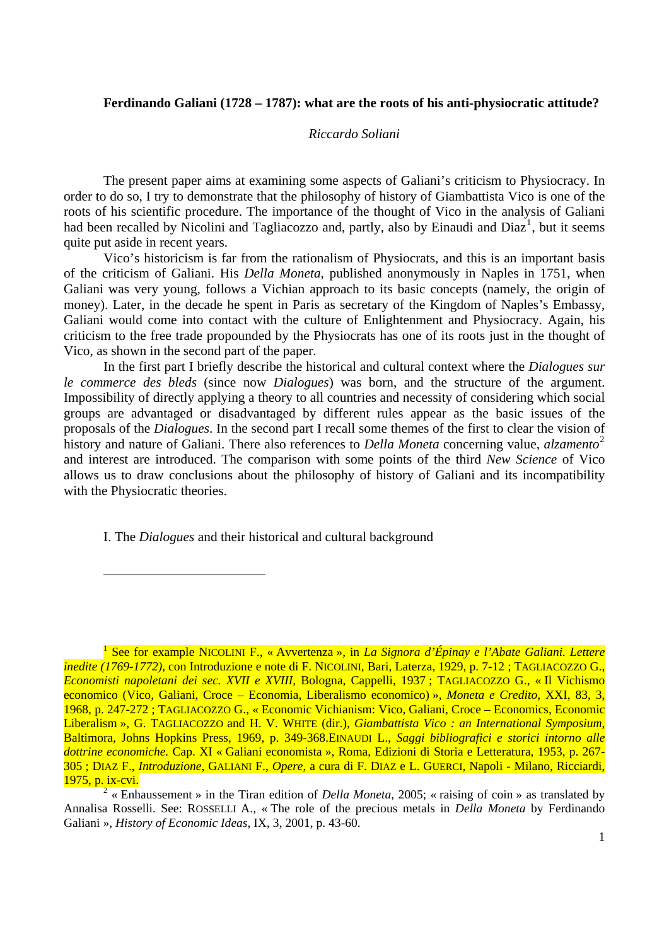## **Ferdinando Galiani (1728 – 1787): what are the roots of his anti-physiocratic attitude?**

### *Riccardo Soliani*

The present paper aims at examining some aspects of Galiani's criticism to Physiocracy. In order to do so, I try to demonstrate that the philosophy of history of Giambattista Vico is one of the roots of his scientific procedure. The importance of the thought of Vico in the analysis of Galiani had been recalled by Nicolini and Tagliacozzo and, partly, also by Einaudi and Diaz<sup>[1](#page-0-0)</sup>, but it seems quite put aside in recent years.

Vico's historicism is far from the rationalism of Physiocrats, and this is an important basis of the criticism of Galiani. His *Della Moneta*, published anonymously in Naples in 1751, when Galiani was very young, follows a Vichian approach to its basic concepts (namely, the origin of money). Later, in the decade he spent in Paris as secretary of the Kingdom of Naples's Embassy, Galiani would come into contact with the culture of Enlightenment and Physiocracy. Again, his criticism to the free trade propounded by the Physiocrats has one of its roots just in the thought of Vico, as shown in the second part of the paper.

In the first part I briefly describe the historical and cultural context where the *Dialogues sur le commerce des bleds* (since now *Dialogues*) was born, and the structure of the argument. Impossibility of directly applying a theory to all countries and necessity of considering which social groups are advantaged or disadvantaged by different rules appear as the basic issues of the proposals of the *Dialogues*. In the second part I recall some themes of the first to clear the vision of history and nature of Galiani. There also references to *Della Moneta* concerning value, *alzamento*<sup>[2](#page-0-1)</sup> and interest are introduced. The comparison with some points of the third *New Science* of Vico allows us to draw conclusions about the philosophy of history of Galiani and its incompatibility with the Physiocratic theories.

I. The *Dialogues* and their historical and cultural background

<span id="page-0-0"></span><sup>&</sup>lt;sup>1</sup> See for example NICOLINI F., « Avvertenza », in *La Signora d'Épinay e l'Abate Galiani. Lettere inedite (1769-1772)*, con Introduzione e note di F. NICOLINI, Bari, Laterza, 1929, p. 7-12 ; TAGLIACOZZO G., *Economisti napoletani dei sec. XVII e XVIII*, Bologna, Cappelli, 1937 ; TAGLIACOZZO G., « Il Vichismo economico (Vico, Galiani, Croce – Economia, Liberalismo economico) », *Moneta e Credito*, XXI, 83, 3, 1968, p. 247-272 ; TAGLIACOZZO G., « Economic Vichianism: Vico, Galiani, Croce – Economics, Economic Liberalism », G. TAGLIACOZZO and H. V. WHITE (dir.), *Giambattista Vico : an International Symposium*, Baltimora, Johns Hopkins Press, 1969, p. 349-368.EINAUDI L., *Saggi bibliografici e storici intorno alle dottrine economiche.* Cap. XI « Galiani economista », Roma, Edizioni di Storia e Letteratura, 1953, p. 267- 305 ; DIAZ F., *Introduzione*, GALIANI F., *Opere*, a cura di F. DIAZ e L. GUERCI, Napoli - Milano, Ricciardi, 1975, p. ix-cvi.

<span id="page-0-1"></span> $2 \times$  Enhaussement » in the Tiran edition of *Della Moneta*, 2005; « raising of coin » as translated by Annalisa Rosselli. See: ROSSELLI A., « The role of the precious metals in *Della Moneta* by Ferdinando Galiani », *History of Economic Ideas*, IX, 3, 2001, p. 43-60.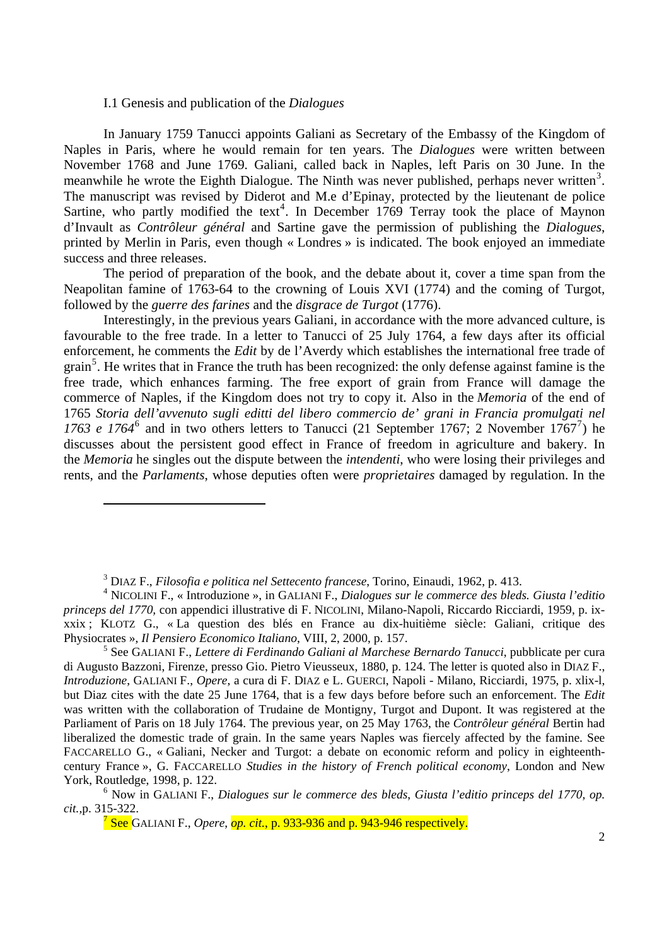### I.1 Genesis and publication of the *Dialogues*

l

In January 1759 Tanucci appoints Galiani as Secretary of the Embassy of the Kingdom of Naples in Paris, where he would remain for ten years. The *Dialogues* were written between November 1768 and June 1769. Galiani, called back in Naples, left Paris on 30 June. In the meanwhile he wrote the Eighth Dialogue. The Ninth was never published, perhaps never written<sup>[3](#page-1-0)</sup>. The manuscript was revised by Diderot and M.e d'Epinay, protected by the lieutenant de police Sartine, who partly modified the text<sup>[4](#page-1-1)</sup>. In December 1769 Terray took the place of Maynon d'Invault as *Contrôleur général* and Sartine gave the permission of publishing the *Dialogues*, printed by Merlin in Paris, even though « Londres » is indicated. The book enjoyed an immediate success and three releases.

The period of preparation of the book, and the debate about it, cover a time span from the Neapolitan famine of 1763-64 to the crowning of Louis XVI (1774) and the coming of Turgot, followed by the *guerre des farines* and the *disgrace de Turgot* (1776).

Interestingly, in the previous years Galiani, in accordance with the more advanced culture, is favourable to the free trade. In a letter to Tanucci of 25 July 1764, a few days after its official enforcement, he comments the *Edit* by de l'Averdy which establishes the international free trade of grain<sup>[5](#page-1-2)</sup>. He writes that in France the truth has been recognized: the only defense against famine is the free trade, which enhances farming. The free export of grain from France will damage the commerce of Naples, if the Kingdom does not try to copy it. Also in the *Memoria* of the end of 1765 *Storia dell'avvenuto sugli editti del libero commercio de' grani in Francia promulgati nel*  17[6](#page-1-3)3 e 1[7](#page-1-4)64<sup>6</sup> and in two others letters to Tanucci (21 September 1767; 2 November 1767<sup>7</sup>) he discusses about the persistent good effect in France of freedom in agriculture and bakery. In the *Memoria* he singles out the dispute between the *intendenti*, who were losing their privileges and rents, and the *Parlaments*, whose deputies often were *proprietaires* damaged by regulation. In the

<sup>3</sup> DIAZ F., *Filosofia e politica nel Settecento francese*, Torino, Einaudi, 1962, p. 413.

<span id="page-1-1"></span><span id="page-1-0"></span><sup>4</sup> NICOLINI F., « Introduzione », in GALIANI F., *Dialogues sur le commerce des bleds. Giusta l'editio princeps del 1770,* con appendici illustrative di F. NICOLINI, Milano-Napoli, Riccardo Ricciardi, 1959, p. ixxxix ; KLOTZ G., « La question des blés en France au dix-huitième siècle: Galiani, critique des Physiocrates », *Il Pensiero Economico Italiano*, VIII, 2, 2000, p. 157.

<span id="page-1-2"></span><sup>5</sup> See GALIANI F., *Lettere di Ferdinando Galiani al Marchese Bernardo Tanucci*, pubblicate per cura di Augusto Bazzoni, Firenze, presso Gio. Pietro Vieusseux, 1880, p. 124. The letter is quoted also in DIAZ F., *Introduzione*, GALIANI F., *Opere*, a cura di F. DIAZ e L. GUERCI, Napoli - Milano, Ricciardi, 1975, p. xlix-l, but Diaz cites with the date 25 June 1764, that is a few days before before such an enforcement. The *Edit* was written with the collaboration of Trudaine de Montigny, Turgot and Dupont. It was registered at the Parliament of Paris on 18 July 1764. The previous year, on 25 May 1763, the *Contrôleur général* Bertin had liberalized the domestic trade of grain. In the same years Naples was fiercely affected by the famine. See FACCARELLO G., « Galiani, Necker and Turgot: a debate on economic reform and policy in eighteenthcentury France », G. FACCARELLO *Studies in the history of French political economy*, London and New York, Routledge, 1998, p. 122.

<span id="page-1-4"></span><span id="page-1-3"></span><sup>6</sup> Now in GALIANI F., *Dialogues sur le commerce des bleds*, *Giusta l'editio princeps del 1770, op. cit.,*p. 315-322.

<sup>7</sup> See GALIANI F., *Opere*, *op. cit.*, p. 933-936 and p. 943-946 respectively.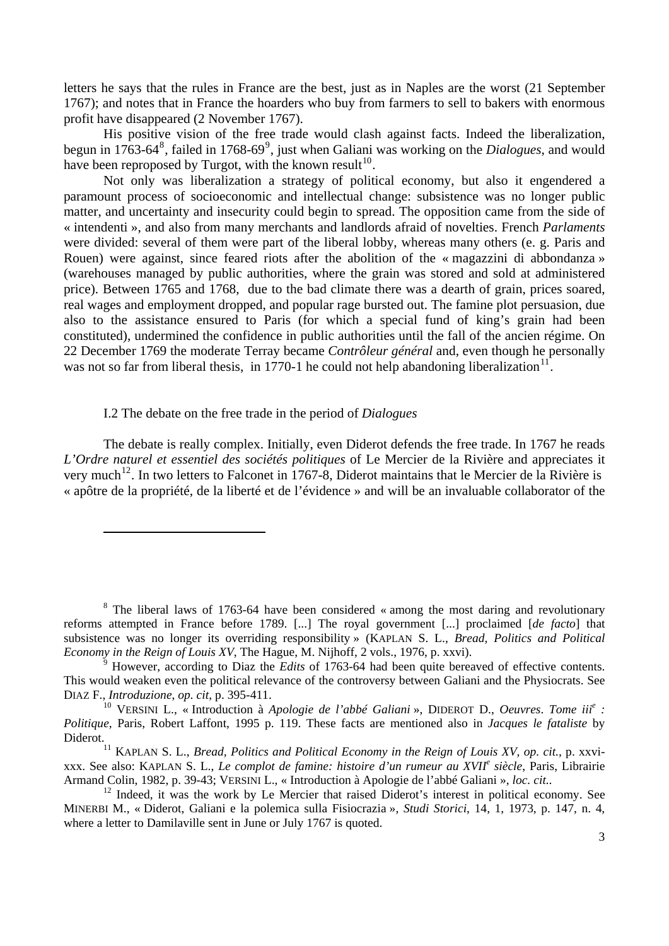letters he says that the rules in France are the best, just as in Naples are the worst (21 September 1767); and notes that in France the hoarders who buy from farmers to sell to bakers with enormous profit have disappeared (2 November 1767).

His positive vision of the free trade would clash against facts. Indeed the liberalization, begun in 1763-64<sup>[8](#page-2-0)</sup>, failed in 1768-6[9](#page-2-1)<sup>9</sup>, just when Galiani was working on the *Dialogues*, and would have been reproposed by Turgot, with the known result<sup>[10](#page-2-2)</sup>.

Not only was liberalization a strategy of political economy, but also it engendered a paramount process of socioeconomic and intellectual change: subsistence was no longer public matter, and uncertainty and insecurity could begin to spread. The opposition came from the side of « intendenti », and also from many merchants and landlords afraid of novelties. French *Parlaments* were divided: several of them were part of the liberal lobby, whereas many others (e. g. Paris and Rouen) were against, since feared riots after the abolition of the « magazzini di abbondanza » (warehouses managed by public authorities, where the grain was stored and sold at administered price). Between 1765 and 1768, due to the bad climate there was a dearth of grain, prices soared, real wages and employment dropped, and popular rage bursted out. The famine plot persuasion, due also to the assistance ensured to Paris (for which a special fund of king's grain had been constituted), undermined the confidence in public authorities until the fall of the ancien régime. On 22 December 1769 the moderate Terray became *Contrôleur général* and, even though he personally was not so far from liberal thesis, in 1770-1 he could not help abandoning liberalization<sup>[11](#page-2-3)</sup>.

### I.2 The debate on the free trade in the period of *Dialogues*

The debate is really complex. Initially, even Diderot defends the free trade. In 1767 he reads *L'Ordre naturel et essentiel des sociétés politiques* of Le Mercier de la Rivière and appreciates it very much<sup>[12](#page-2-4)</sup>. In two letters to Falconet in 1767-8, Diderot maintains that le Mercier de la Rivière is « apôtre de la propriété, de la liberté et de l'évidence » and will be an invaluable collaborator of the

<span id="page-2-0"></span><sup>&</sup>lt;sup>8</sup> The liberal laws of 1763-64 have been considered « among the most daring and revolutionary reforms attempted in France before 1789. [...] The royal government [...] proclaimed [*de facto*] that subsistence was no longer its overriding responsibility » (KAPLAN S. L., *Bread, Politics and Political Economy in the Reign of Louis XV*, The Hague, M. Nijhoff, 2 vols., 1976, p. xxvi).

<span id="page-2-1"></span><sup>&</sup>lt;sup>9</sup> However, according to Diaz the *Edits* of 1763-64 had been quite bereaved of effective contents. This would weaken even the political relevance of the controversy between Galiani and the Physiocrats. See DIAZ F., *Introduzione*, *op. cit*, p. 395-411.

<span id="page-2-2"></span><sup>10</sup> VERSINI L., « Introduction à *Apologie de l'abbé Galiani* », DIDEROT D., *Oeuvres*. *Tome iii<sup>e</sup> : Politique*, Paris, Robert Laffont, 1995 p. 119. These facts are mentioned also in *Jacques le fataliste* by Diderot.

<span id="page-2-3"></span><sup>&</sup>lt;sup>11</sup> KAPLAN S. L., *Bread, Politics and Political Economy in the Reign of Louis XV, op. cit., p. xxvi*xxx. See also: KAPLAN S. L., *Le complot de famine: histoire d'un rumeur au XVIIe siècle*, Paris, Librairie Armand Colin, 1982, p. 39-43; VERSINI L., « Introduction à Apologie de l'abbé Galiani », *loc. cit..* <sup>12</sup> Indeed, it was the work by Le Mercier that raised Diderot's interest in political economy. See

<span id="page-2-4"></span>MINERBI M., « Diderot, Galiani e la polemica sulla Fisiocrazia », *Studi Storici*, 14, 1, 1973, p. 147, n. 4, where a letter to Damilaville sent in June or July 1767 is quoted.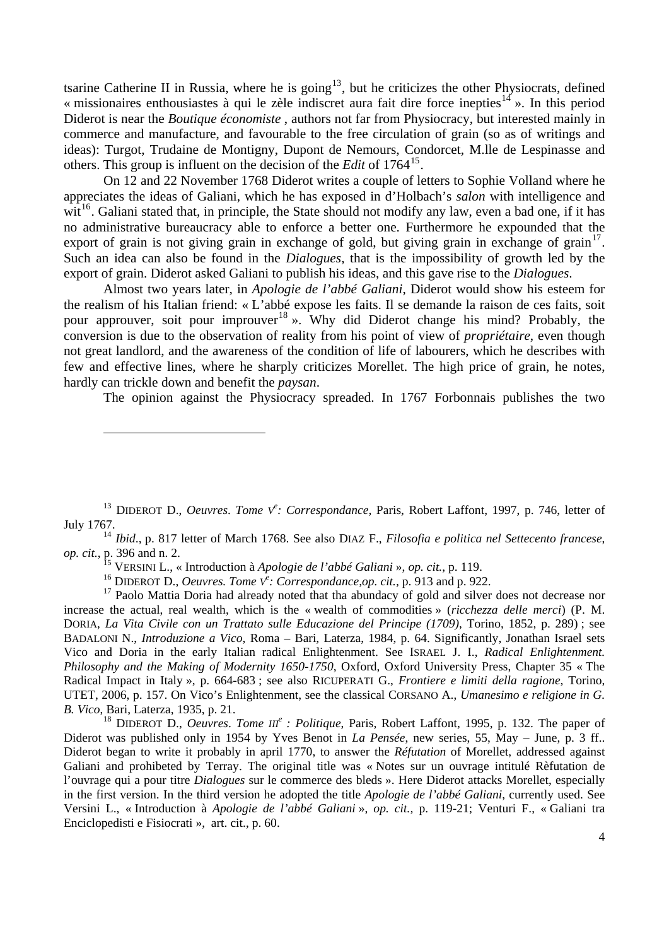tsarine Catherine II in Russia, where he is going<sup>[13](#page-3-0)</sup>, but he criticizes the other Physiocrats, defined « missionaires enthousiastes à qui le zèle indiscret aura fait dire force inepties<sup>[14](#page-3-1)</sup> ». In this period Diderot is near the *Boutique économiste* , authors not far from Physiocracy, but interested mainly in commerce and manufacture, and favourable to the free circulation of grain (so as of writings and ideas): Turgot, Trudaine de Montigny, Dupont de Nemours, Condorcet, M.lle de Lespinasse and others. This group is influent on the decision of the *Edit* of 1764<sup>[15](#page-3-2)</sup>.

. export of grain. Diderot asked Galiani to publish his ideas, and this gave rise to the *Dialogues* On 12 and 22 November 1768 Diderot writes a couple of letters to Sophie Volland where he appreciates the ideas of Galiani, which he has exposed in d'Holbach's *salon* with intelligence and wit<sup>[16](#page-3-3)</sup>. Galiani stated that, in principle, the State should not modify any law, even a bad one, if it has no administrative bureaucracy able to enforce a better one. Furthermore he expounded that the export of grain is not giving grain in exchange of gold, but giving grain in exchange of grain<sup>[17](#page-3-4)</sup>. Such an idea can also be found in the *Dialogues*, that is the impossibility of growth led by the

Almost two years later, in *Apologie de l'abbé Galiani*, Diderot would show his esteem for the realism of his Italian friend: « L'abbé expose les faits. Il se demande la raison de ces faits, soit pour approuver, soit pour improuver<sup>[18](#page-3-5)</sup> ». Why did Diderot change his mind? Probably, the conversion is due to the observation of reality from his point of view of *propriétaire*, even though not great landlord, and the awareness of the condition of life of labourers, which he describes with few and effective lines, where he sharply criticizes Morellet. The high price of grain, he notes, hardly can trickle down and benefit the *paysan*.

The opinion against the Physiocracy spreaded. In 1767 Forbonnais publishes the two

<span id="page-3-1"></span><sup>14</sup> *Ibid*., p. 817 letter of March 1768. See also DIAZ F., *Filosofia e politica nel Settecento francese*, *op. cit.*, p. 396 and n. 2.

15 VERSINI L., « Introduction à *Apologie de l'abbé Galiani* », *op. cit.*, p. 119.

16 DIDEROT D., *Oeuvres. Tome V<sup>e</sup> : Correspondance,op. cit.,* p. 913 and p. 922.

<span id="page-3-4"></span><span id="page-3-3"></span><span id="page-3-2"></span><sup>17</sup> Paolo Mattia Doria had already noted that tha abundacy of gold and silver does not decrease nor increase the actual, real wealth, which is the « wealth of commodities » (*ricchezza delle merci*) (P. M. DORIA, *La Vita Civile con un Trattato sulle Educazione del Principe (1709)*, Torino, 1852, p. 289) ; see BADALONI N., *Introduzione a Vico*, Roma – Bari, Laterza, 1984, p. 64. Significantly, Jonathan Israel sets Vico and Doria in the early Italian radical Enlightenment. See ISRAEL J. I., *Radical Enlightenment. Philosophy and the Making of Modernity 1650-1750*, Oxford, Oxford University Press, Chapter 35 « The Radical Impact in Italy », p. 664-683 ; see also RICUPERATI G., *Frontiere e limiti della ragione*, Torino, UTET, 2006, p. 157. On Vico's Enlightenment, see the classical CORSANO A., *Umanesimo e religione in G. B. Vico*, Bari, Laterza, 1935, p. 21.

<span id="page-3-5"></span>18 DIDEROT D., *Oeuvres*. *Tome III<sup>e</sup> : Politique*, Paris, Robert Laffont, 1995, p. 132. The paper of Diderot was published only in 1954 by Yves Benot in *La Pensée*, new series, 55, May – June, p. 3 ff.. Diderot began to write it probably in april 1770, to answer the *Réfutation* of Morellet, addressed against Galiani and prohibeted by Terray. The original title was « Notes sur un ouvrage intitulé Rèfutation de l'ouvrage qui a pour titre *Dialogues* sur le commerce des bleds ». Here Diderot attacks Morellet, especially in the first version. In the third version he adopted the title *Apologie de l'abbé Galiani*, currently used. See Versini L., « Introduction à *Apologie de l'abbé Galiani* », *op. cit.,* p. 119-21; Venturi F., « Galiani tra Enciclopedisti e Fisiocrati », art. cit., p. 60.

<span id="page-3-0"></span><sup>&</sup>lt;sup>13</sup> DIDEROT D., *Oeuvres. Tome V<sup>e</sup>: Correspondance*, Paris, Robert Laffont, 1997, p. 746, letter of July 1767.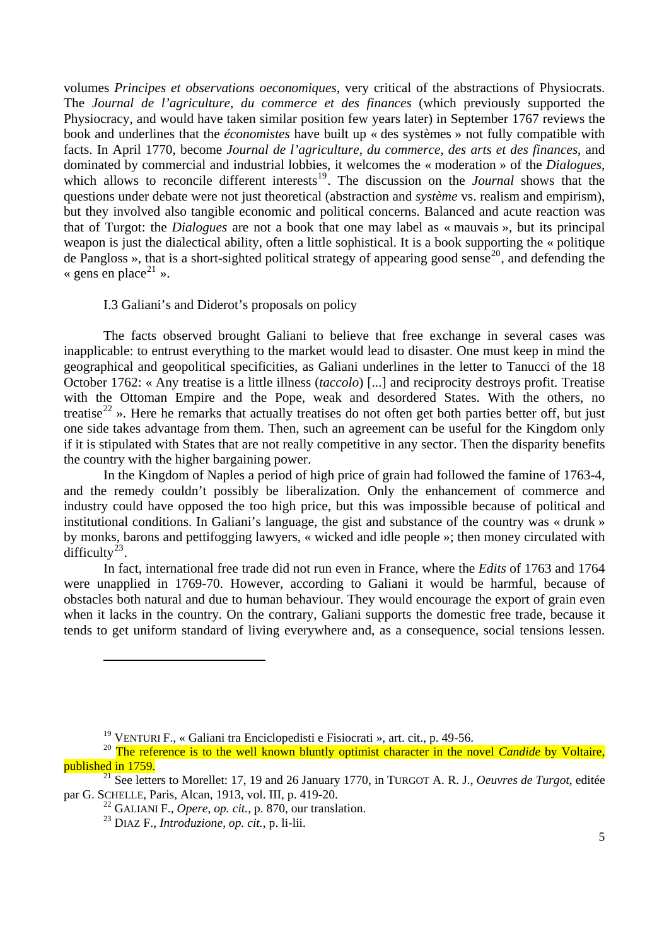volumes *Principes et observations oeconomiques*, very critical of the abstractions of Physiocrats. The *Journal de l'agriculture, du commerce et des finances* (which previously supported the Physiocracy, and would have taken similar position few years later) in September 1767 reviews the book and underlines that the *économistes* have built up « des systèmes » not fully compatible with facts. In April 1770, become *Journal de l'agriculture, du commerce, des arts et des finances*, and dominated by commercial and industrial lobbies, it welcomes the « moderation » of the *Dialogues*, which allows to reconcile different interests<sup>[19](#page-4-0)</sup>. The discussion on the *Journal* shows that the questions under debate were not just theoretical (abstraction and *système* vs. realism and empirism), but they involved also tangible economic and political concerns. Balanced and acute reaction was that of Turgot: the *Dialogues* are not a book that one may label as « mauvais », but its principal weapon is just the dialectical ability, often a little sophistical. It is a book supporting the « politique de Pangloss », that is a short-sighted political strategy of appearing good sense<sup>[20](#page-4-1)</sup>, and defending the « gens en place<sup>[21](#page-4-2)</sup> ».

## I.3 Galiani's and Diderot's proposals on policy

the country with the higher bargaining power. The facts observed brought Galiani to believe that free exchange in several cases was inapplicable: to entrust everything to the market would lead to disaster. One must keep in mind the geographical and geopolitical specificities, as Galiani underlines in the letter to Tanucci of the 18 October 1762: « Any treatise is a little illness (*taccolo*) [...] and reciprocity destroys profit. Treatise with the Ottoman Empire and the Pope, weak and desordered States. With the others, no treatise<sup>[22](#page-4-3)</sup> ». Here he remarks that actually treatises do not often get both parties better off, but just one side takes advantage from them. Then, such an agreement can be useful for the Kingdom only if it is stipulated with States that are not really competitive in any sector. Then the disparity benefits

In the Kingdom of Naples a period of high price of grain had followed the famine of 1763-4, and the remedy couldn't possibly be liberalization. Only the enhancement of commerce and industry could have opposed the too high price, but this was impossible because of political and institutional conditions. In Galiani's language, the gist and substance of the country was « drunk » by monks, barons and pettifogging lawyers, « wicked and idle people »; then money circulated with difficulty $^{23}$  $^{23}$  $^{23}$ .

In fact, international free trade did not run even in France, where the *Edits* of 1763 and 1764 were unapplied in 1769-70. However, according to Galiani it would be harmful, because of obstacles both natural and due to human behaviour. They would encourage the export of grain even when it lacks in the country. On the contrary, Galiani supports the domestic free trade, because it tends to get uniform standard of living everywhere and, as a consequence, social tensions lessen.

<sup>19</sup> VENTURI F., « Galiani tra Enciclopedisti e Fisiocrati », art. cit., p. 49-56.

<span id="page-4-1"></span><span id="page-4-0"></span><sup>&</sup>lt;sup>20</sup> The reference is to the well known bluntly optimist character in the novel *Candide* by Voltaire, published in 1759.

<span id="page-4-4"></span><span id="page-4-3"></span><span id="page-4-2"></span><sup>21</sup> See letters to Morellet: 17, 19 and 26 January 1770, in TURGOT A. R. J., *Oeuvres de Turgot*, editée par G. SCHELLE, Paris, Alcan, 1913, vol. III, p. 419-20.

<sup>22</sup> GALIANI F., *Opere*, *op. cit.,* p. 870, our translation.

<sup>23</sup> DIAZ F., *Introduzione, op. cit.,* p. li-lii.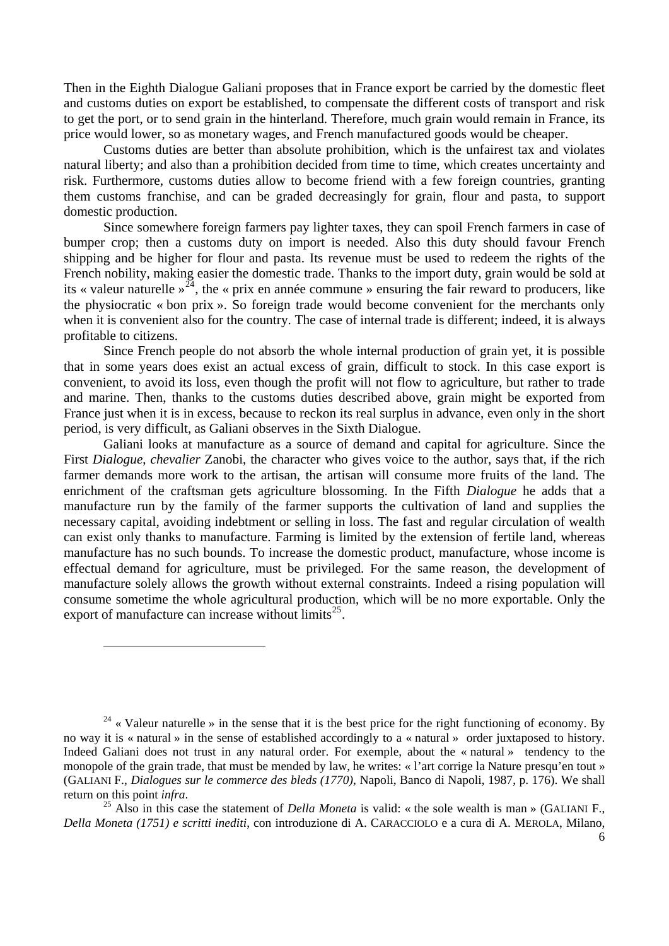Then in the Eighth Dialogue Galiani proposes that in France export be carried by the domestic fleet and customs duties on export be established, to compensate the different costs of transport and risk to get the port, or to send grain in the hinterland. Therefore, much grain would remain in France, its price would lower, so as monetary wages, and French manufactured goods would be cheaper.

Customs duties are better than absolute prohibition, which is the unfairest tax and violates natural liberty; and also than a prohibition decided from time to time, which creates uncertainty and risk. Furthermore, customs duties allow to become friend with a few foreign countries, granting them customs franchise, and can be graded decreasingly for grain, flour and pasta, to support domestic production.

Since somewhere foreign farmers pay lighter taxes, they can spoil French farmers in case of bumper crop; then a customs duty on import is needed. Also this duty should favour French shipping and be higher for flour and pasta. Its revenue must be used to redeem the rights of the French nobility, making easier the domestic trade. Thanks to the import duty, grain would be sold at its « valeur naturelle  $\frac{1}{24}$  $\frac{1}{24}$  $\frac{1}{24}$ , the « prix en année commune » ensuring the fair reward to producers, like the physiocratic « bon prix ». So foreign trade would become convenient for the merchants only when it is convenient also for the country. The case of internal trade is different; indeed, it is always profitable to citizens.

Since French people do not absorb the whole internal production of grain yet, it is possible that in some years does exist an actual excess of grain, difficult to stock. In this case export is convenient, to avoid its loss, even though the profit will not flow to agriculture, but rather to trade and marine. Then, thanks to the customs duties described above, grain might be exported from France just when it is in excess, because to reckon its real surplus in advance, even only in the short period, is very difficult, as Galiani observes in the Sixth Dialogue.

Galiani looks at manufacture as a source of demand and capital for agriculture. Since the First *Dialogue*, *chevalier* Zanobi, the character who gives voice to the author, says that, if the rich farmer demands more work to the artisan, the artisan will consume more fruits of the land. The enrichment of the craftsman gets agriculture blossoming. In the Fifth *Dialogue* he adds that a manufacture run by the family of the farmer supports the cultivation of land and supplies the necessary capital, avoiding indebtment or selling in loss. The fast and regular circulation of wealth can exist only thanks to manufacture. Farming is limited by the extension of fertile land, whereas manufacture has no such bounds. To increase the domestic product, manufacture, whose income is effectual demand for agriculture, must be privileged. For the same reason, the development of manufacture solely allows the growth without external constraints. Indeed a rising population will consume sometime the whole agricultural production, which will be no more exportable. Only the export of manufacture can increase without limits<sup>[25](#page-5-1)</sup>.

<span id="page-5-0"></span><sup>24</sup> « Valeur naturelle » in the sense that it is the best price for the right functioning of economy. By no way it is « natural » in the sense of established accordingly to a « natural » order juxtaposed to history. Indeed Galiani does not trust in any natural order. For exemple, about the « natural » tendency to the monopole of the grain trade, that must be mended by law, he writes: « l'art corrige la Nature presqu'en tout » (GALIANI F., *Dialogues sur le commerce des bleds (1770)*, Napoli, Banco di Napoli, 1987, p. 176). We shall return on this point *infra*. 25 Also in this case the statement of *Della Moneta* is valid: « the sole wealth is man » (GALIANI F.,

<span id="page-5-1"></span>*Della Moneta (1751) e scritti inediti*, con introduzione di A. CARACCIOLO e a cura di A. MEROLA, Milano,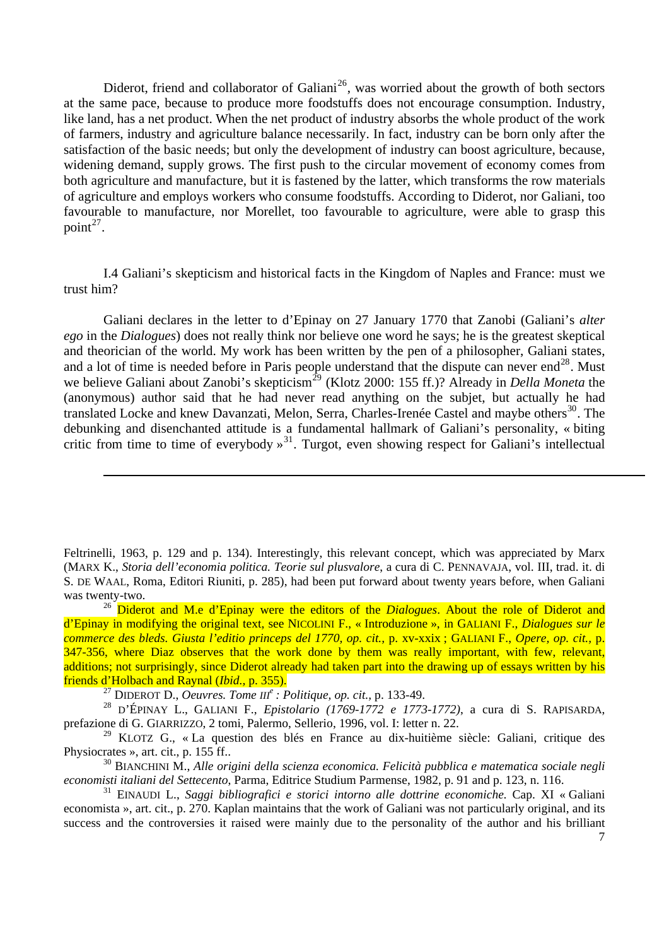Diderot, friend and collaborator of Galiani<sup>[26](#page-6-0)</sup>, was worried about the growth of both sectors at the same pace, because to produce more foodstuffs does not encourage consumption. Industry, like land, has a net product. When the net product of industry absorbs the whole product of the work of farmers, industry and agriculture balance necessarily. In fact, industry can be born only after the satisfaction of the basic needs; but only the development of industry can boost agriculture, because, widening demand, supply grows. The first push to the circular movement of economy comes from both agriculture and manufacture, but it is fastened by the latter, which transforms the row materials of agriculture and employs workers who consume foodstuffs. According to Diderot, nor Galiani, too favourable to manufacture, nor Morellet, too favourable to agriculture, were able to grasp this point<sup> $27$ </sup>.

I.4 Galiani's skepticism and historical facts in the Kingdom of Naples and France: must we trust him?

Galiani declares in the letter to d'Epinay on 27 January 1770 that Zanobi (Galiani's *alter ego* in the *Dialogues*) does not really think nor believe one word he says; he is the greatest skeptical and theorician of the world. My work has been written by the pen of a philosopher, Galiani states, and a lot of time is needed before in Paris people understand that the dispute can never end<sup>[28](#page-6-2)</sup>. Must we believe Galiani about Zanobi's skepticism<sup>[29](#page-6-3)</sup> (Klotz 2000: 155 ff.)? Already in *Della Moneta* the (anonymous) author said that he had never read anything on the subjet, but actually he had translated Locke and knew Davanzati, Melon, Serra, Charles-Irenée Castel and maybe others<sup>[30](#page-6-4)</sup>. The debunking and disenchanted attitude is a fundamental hallmark of Galiani's personality, « biting critic from time to time of everybody  $\frac{1}{2}$ . Turgot, even showing respect for Galiani's intellectual

Feltrinelli, 1963, p. 129 and p. 134). Interestingly, this relevant concept, which was appreciated by Marx (MARX K., *Storia dell'economia politica. Teorie sul plusvalore*, a cura di C. PENNAVAJA, vol. III, trad. it. di S. DE WAAL, Roma, Editori Riuniti, p. 285), had been put forward about twenty years before, when Galiani was twenty-two.

<span id="page-6-0"></span><sup>26</sup> Diderot and M.e d'Epinay were the editors of the *Dialogues*. About the role of Diderot and d'Epinay in modifying the original text, see NICOLINI F., « Introduzione », in GALIANI F., *Dialogues sur le commerce des bleds. Giusta l'editio princeps del 1770, op. cit.,* p. xv-xxix ; GALIANI F., *Opere, op. cit.,* p. 347-356, where Diaz observes that the work done by them was really important, with few, relevant, additions; not surprisingly, since Diderot already had taken part into the drawing up of essays written by his friends d'Holbach and Raynal (*Ibid.,* p. 355).

27 DIDEROT D., *Oeuvres. Tome III<sup>e</sup> : Politique, op. cit.,* p. 133-49.

<sup>-</sup>

<span id="page-6-2"></span><span id="page-6-1"></span><sup>28</sup> D'ÉPINAY L., GALIANI F., *Epistolario (1769-1772 e 1773-1772)*, a cura di S. RAPISARDA, prefazione di G. GIARRIZZO, 2 tomi, Palermo, Sellerio, 1996, vol. I: letter n. 22.

<span id="page-6-3"></span>29 KLOTZ G., « La question des blés en France au dix-huitième siècle: Galiani, critique des Physiocrates », art. cit., p. 155 ff..

<span id="page-6-4"></span>30 BIANCHINI M., *Alle origini della scienza economica. Felicità pubblica e matematica sociale negli economisti italiani del Settecento*, Parma, Editrice Studium Parmense, 1982, p. 91 and p. 123, n. 116.

<span id="page-6-5"></span>31 EINAUDI L., *Saggi bibliografici e storici intorno alle dottrine economiche.* Cap. XI « Galiani economista », art. cit., p. 270. Kaplan maintains that the work of Galiani was not particularly original, and its success and the controversies it raised were mainly due to the personality of the author and his brilliant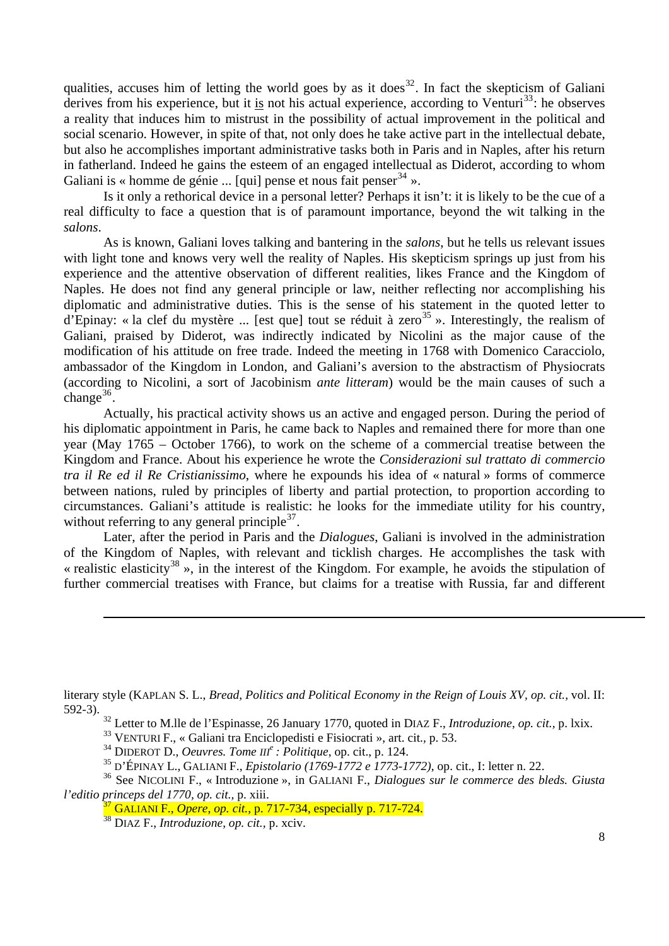qualities, accuses him of letting the world goes by as it does<sup>[32](#page-7-0)</sup>. In fact the skepticism of Galiani derives from his experience, but it is not his actual experience, according to Venturi<sup>[33](#page-7-1)</sup>: he observes a reality that induces him to mistrust in the possibility of actual improvement in the political and social scenario. However, in spite of that, not only does he take active part in the intellectual debate, but also he accomplishes important administrative tasks both in Paris and in Naples, after his return in fatherland. Indeed he gains the esteem of an engaged intellectual as Diderot, according to whom Galiani is « homme de génie ... [qui] pense et nous fait penser  $34 \times$  $34 \times$ .

Is it only a rethorical device in a personal letter? Perhaps it isn't: it is likely to be the cue of a real difficulty to face a question that is of paramount importance, beyond the wit talking in the *salons*.

As is known, Galiani loves talking and bantering in the *salons*, but he tells us relevant issues with light tone and knows very well the reality of Naples. His skepticism springs up just from his experience and the attentive observation of different realities, likes France and the Kingdom of Naples. He does not find any general principle or law, neither reflecting nor accomplishing his diplomatic and administrative duties. This is the sense of his statement in the quoted letter to d'Epinay: « la clef du mystère ... [est que] tout se réduit à zero<sup>[35](#page-7-3)</sup> ». Interestingly, the realism of Galiani, praised by Diderot, was indirectly indicated by Nicolini as the major cause of the modification of his attitude on free trade. Indeed the meeting in 1768 with Domenico Caracciolo, ambassador of the Kingdom in London, and Galiani's aversion to the abstractism of Physiocrats (according to Nicolini, a sort of Jacobinism *ante litteram*) would be the main causes of such a change $36$ .

Actually, his practical activity shows us an active and engaged person. During the period of his diplomatic appointment in Paris, he came back to Naples and remained there for more than one year (May 1765 – October 1766), to work on the scheme of a commercial treatise between the Kingdom and France. About his experience he wrote the *Considerazioni sul trattato di commercio tra il Re ed il Re Cristianissimo*, where he expounds his idea of « natural » forms of commerce between nations, ruled by principles of liberty and partial protection, to proportion according to circumstances. Galiani's attitude is realistic: he looks for the immediate utility for his country, without referring to any general principle  $3^7$ .

Later, after the period in Paris and the *Dialogues*, Galiani is involved in the administration of the Kingdom of Naples, with relevant and ticklish charges. He accomplishes the task with « realistic elasticity<sup>[38](#page-7-6)</sup> », in the interest of the Kingdom. For example, he avoids the stipulation of further commercial treatises with France, but claims for a treatise with Russia, far and different

<span id="page-7-0"></span>literary style (KAPLAN S. L., *Bread, Politics and Political Economy in the Reign of Louis XV, op. cit.,* vol. II: 592-3).

32 Letter to M.lle de l'Espinasse, 26 January 1770, quoted in DIAZ F., *Introduzione*, *op. cit.,* p. lxix.

33 VENTURI F., « Galiani tra Enciclopedisti e Fisiocrati », art. cit.*,* p. 53.

34 DIDEROT D., *Oeuvres. Tome III<sup>e</sup> : Politique*, op. cit., p. 124.

<sup>35</sup> D'ÉPINAY L., GALIANI F., *Epistolario (1769-1772 e 1773-1772)*, op. cit., I: letter n. 22.

<span id="page-7-6"></span><span id="page-7-5"></span><span id="page-7-4"></span><span id="page-7-3"></span><span id="page-7-2"></span><span id="page-7-1"></span>36 See NICOLINI F., « Introduzione », in GALIANI F., *Dialogues sur le commerce des bleds. Giusta l'editio princeps del 1770, op. cit.,* p. xiii.

38 DIAZ F., *Introduzione*, *op. cit.,* p. xciv.

-

<sup>37</sup> GALIANI F., *Opere*, *op. cit.,* p. 717-734, especially p. 717-724.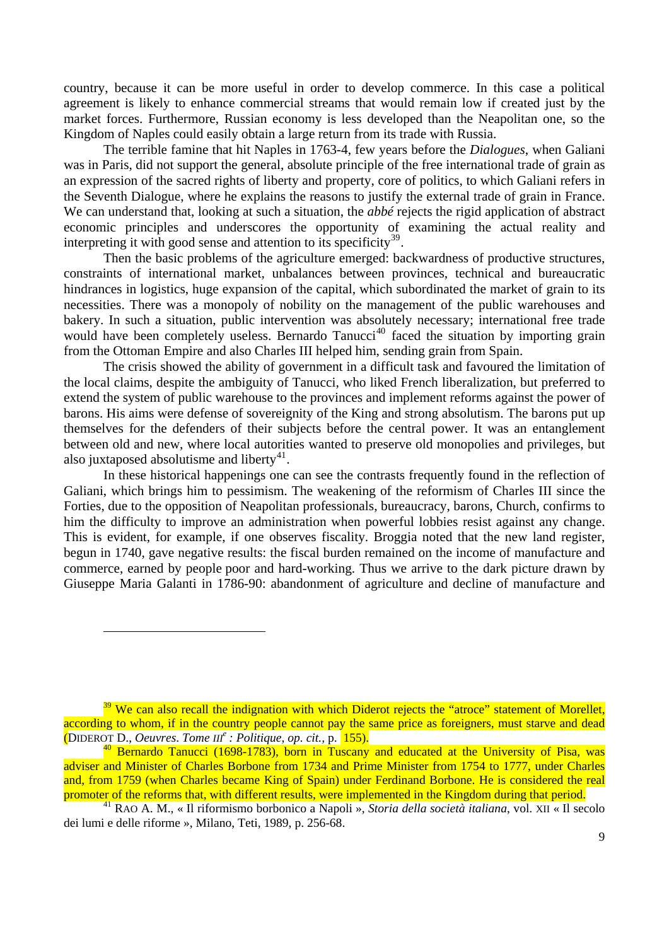country, because it can be more useful in order to develop commerce. In this case a political agreement is likely to enhance commercial streams that would remain low if created just by the market forces. Furthermore, Russian economy is less developed than the Neapolitan one, so the Kingdom of Naples could easily obtain a large return from its trade with Russia.

The terrible famine that hit Naples in 1763-4, few years before the *Dialogues*, when Galiani was in Paris, did not support the general, absolute principle of the free international trade of grain as an expression of the sacred rights of liberty and property, core of politics, to which Galiani refers in the Seventh Dialogue, where he explains the reasons to justify the external trade of grain in France. We can understand that, looking at such a situation, the *abbé* rejects the rigid application of abstract economic principles and underscores the opportunity of examining the actual reality and interpreting it with good sense and attention to its specificity<sup>[39](#page-8-0)</sup>.

Then the basic problems of the agriculture emerged: backwardness of productive structures, constraints of international market, unbalances between provinces, technical and bureaucratic hindrances in logistics, huge expansion of the capital, which subordinated the market of grain to its necessities. There was a monopoly of nobility on the management of the public warehouses and bakery. In such a situation, public intervention was absolutely necessary; international free trade would have been completely useless. Bernardo Tanucci<sup>[40](#page-8-1)</sup> faced the situation by importing grain from the Ottoman Empire and also Charles III helped him, sending grain from Spain.

The crisis showed the ability of government in a difficult task and favoured the limitation of the local claims, despite the ambiguity of Tanucci, who liked French liberalization, but preferred to extend the system of public warehouse to the provinces and implement reforms against the power of barons. His aims were defense of sovereignity of the King and strong absolutism. The barons put up themselves for the defenders of their subjects before the central power. It was an entanglement between old and new, where local autorities wanted to preserve old monopolies and privileges, but also juxtaposed absolutisme and liberty<sup>[41](#page-8-2)</sup>.

In these historical happenings one can see the contrasts frequently found in the reflection of Galiani, which brings him to pessimism. The weakening of the reformism of Charles III since the Forties, due to the opposition of Neapolitan professionals, bureaucracy, barons, Church, confirms to him the difficulty to improve an administration when powerful lobbies resist against any change. This is evident, for example, if one observes fiscality. Broggia noted that the new land register, begun in 1740, gave negative results: the fiscal burden remained on the income of manufacture and commerce, earned by people poor and hard-working. Thus we arrive to the dark picture drawn by Giuseppe Maria Galanti in 1786-90: abandonment of agriculture and decline of manufacture and

<span id="page-8-0"></span> $39$  We can also recall the indignation with which Diderot rejects the "atroce" statement of Morellet, according to whom, if in the country people cannot pay the same price as foreigners, must starve and dead (DIDEROT D., *Oeuvres*. *Tome III<sup>e</sup> : Politique*, *op. cit.,* p. 155).

<span id="page-8-1"></span> $40$  Bernardo Tanucci (1698-1783), born in Tuscany and educated at the University of Pisa, was adviser and Minister of Charles Borbone from 1734 and Prime Minister from 1754 to 1777, under Charles and, from 1759 (when Charles became King of Spain) under Ferdinand Borbone. He is considered the real promoter of the reforms that, with different results, were implemented in the Kingdom during that period.

<span id="page-8-2"></span><sup>41</sup> RAO A. M., « Il riformismo borbonico a Napoli », *Storia della società italiana*, vol. XII « Il secolo dei lumi e delle riforme », Milano, Teti, 1989, p. 256-68.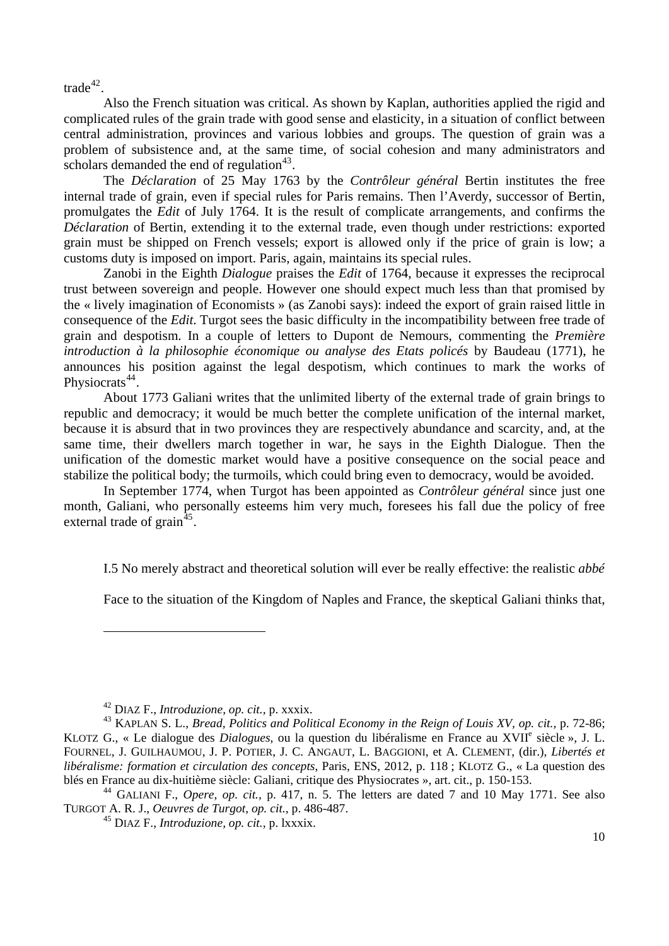$\text{trade}^{42}$  $\text{trade}^{42}$  $\text{trade}^{42}$ 

Also the French situation was critical. As shown by Kaplan, authorities applied the rigid and complicated rules of the grain trade with good sense and elasticity, in a situation of conflict between central administration, provinces and various lobbies and groups. The question of grain was a problem of subsistence and, at the same time, of social cohesion and many administrators and scholars demanded the end of regulation $43$ .

The *Déclaration* of 25 May 1763 by the *Contrôleur général* Bertin institutes the free internal trade of grain, even if special rules for Paris remains. Then l'Averdy, successor of Bertin, promulgates the *Edit* of July 1764. It is the result of complicate arrangements, and confirms the *Déclaration* of Bertin, extending it to the external trade, even though under restrictions: exported grain must be shipped on French vessels; export is allowed only if the price of grain is low; a customs duty is imposed on import. Paris, again, maintains its special rules.

Zanobi in the Eighth *Dialogue* praises the *Edit* of 1764, because it expresses the reciprocal trust between sovereign and people. However one should expect much less than that promised by the « lively imagination of Economists » (as Zanobi says): indeed the export of grain raised little in consequence of the *Edit*. Turgot sees the basic difficulty in the incompatibility between free trade of grain and despotism. In a couple of letters to Dupont de Nemours, commenting the *Première introduction à la philosophie économique ou analyse des Etats policés* by Baudeau (1771), he announces his position against the legal despotism, which continues to mark the works of Physiocrats<sup>[44](#page-9-2)</sup>.

About 1773 Galiani writes that the unlimited liberty of the external trade of grain brings to republic and democracy; it would be much better the complete unification of the internal market, because it is absurd that in two provinces they are respectively abundance and scarcity, and, at the same time, their dwellers march together in war, he says in the Eighth Dialogue. Then the unification of the domestic market would have a positive consequence on the social peace and stabilize the political body; the turmoils, which could bring even to democracy, would be avoided.

In September 1774, when Turgot has been appointed as *Contrôleur général* since just one month, Galiani, who personally esteems him very much, foresees his fall due the policy of free external trade of  $grain<sup>45</sup>$  $grain<sup>45</sup>$  $grain<sup>45</sup>$ .

I.5 No merely abstract and theoretical solution will ever be really effective: the realistic *abbé*

Face to the situation of the Kingdom of Naples and France, the skeptical Galiani thinks that,

<sup>42</sup> DIAZ F., *Introduzione, op. cit.,* p. xxxix.

<span id="page-9-1"></span><span id="page-9-0"></span><sup>43</sup> KAPLAN S. L., *Bread, Politics and Political Economy in the Reign of Louis XV, op. cit.,* p. 72-86; KLOTZ G., « Le dialogue des *Dialogues*, ou la question du libéralisme en France au XVII<sup>e</sup> siècle », J. L. FOURNEL, J. GUILHAUMOU, J. P. POTIER, J. C. ANGAUT, L. BAGGIONI, et A. CLEMENT, (dir.), *Libertés et libéralisme: formation et circulation des concepts*, Paris, ENS, 2012, p. 118 ; KLOTZ G., « La question des blés en France au dix-huitième siècle: Galiani, critique des Physiocrates », art. cit., p. 150-153.

<span id="page-9-3"></span><span id="page-9-2"></span><sup>44</sup> GALIANI F., *Opere, op. cit.,* p. 417, n. 5. The letters are dated 7 and 10 May 1771. See also TURGOT A. R. J., *Oeuvres de Turgot*, *op. cit.,* p. 486-487.

<sup>45</sup> DIAZ F., *Introduzione, op. cit.,* p. lxxxix.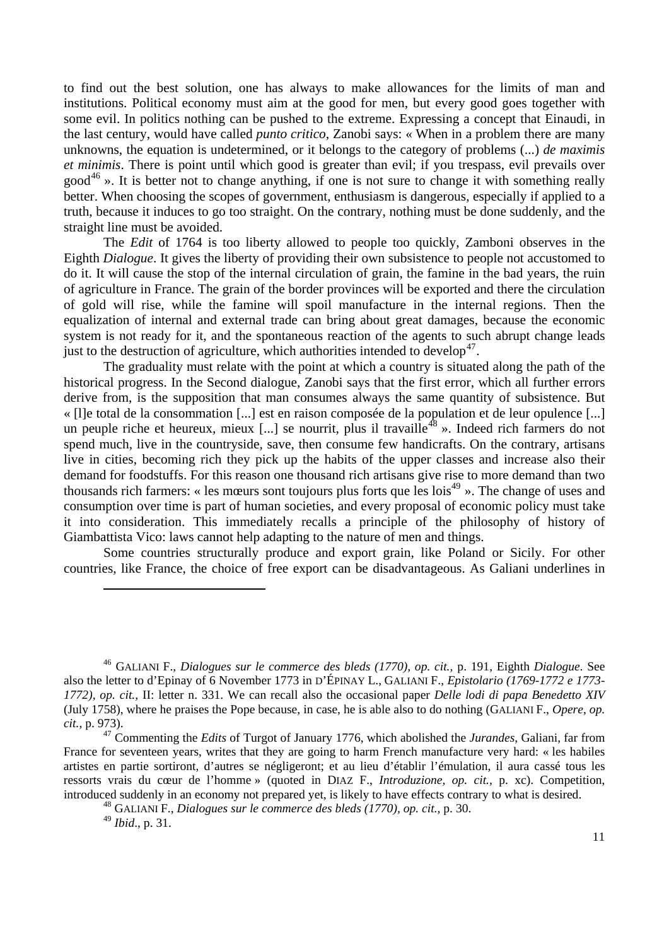to find out the best solution, one has always to make allowances for the limits of man and institutions. Political economy must aim at the good for men, but every good goes together with some evil. In politics nothing can be pushed to the extreme. Expressing a concept that Einaudi, in the last century, would have called *punto critico*, Zanobi says: « When in a problem there are many unknowns, the equation is undetermined, or it belongs to the category of problems (...) *de maximis et minimis*. There is point until which good is greater than evil; if you trespass, evil prevails over good<sup>[46](#page-10-0)</sup> ». It is better not to change anything, if one is not sure to change it with something really better. When choosing the scopes of government, enthusiasm is dangerous, especially if applied to a truth, because it induces to go too straight. On the contrary, nothing must be done suddenly, and the straight line must be avoided.

The *Edit* of 1764 is too liberty allowed to people too quickly, Zamboni observes in the Eighth *Dialogue*. It gives the liberty of providing their own subsistence to people not accustomed to do it. It will cause the stop of the internal circulation of grain, the famine in the bad years, the ruin of agriculture in France. The grain of the border provinces will be exported and there the circulation of gold will rise, while the famine will spoil manufacture in the internal regions. Then the equalization of internal and external trade can bring about great damages, because the economic system is not ready for it, and the spontaneous reaction of the agents to such abrupt change leads just to the destruction of agriculture, which authorities intended to develop<sup>[47](#page-10-1)</sup>.

The graduality must relate with the point at which a country is situated along the path of the historical progress. In the Second dialogue, Zanobi says that the first error, which all further errors derive from, is the supposition that man consumes always the same quantity of subsistence. But « [l]e total de la consommation [...] est en raison composée de la population et de leur opulence [...] un peuple riche et heureux, mieux [...] se nourrit, plus il travaille<sup>[48](#page-10-2)</sup> ». Indeed rich farmers do not spend much, live in the countryside, save, then consume few handicrafts. On the contrary, artisans live in cities, becoming rich they pick up the habits of the upper classes and increase also their demand for foodstuffs. For this reason one thousand rich artisans give rise to more demand than two thousands rich farmers: « les mœurs sont toujours plus forts que les lois<sup>[49](#page-10-3)</sup> ». The change of uses and consumption over time is part of human societies, and every proposal of economic policy must take it into consideration. This immediately recalls a principle of the philosophy of history of Giambattista Vico: laws cannot help adapting to the nature of men and things.

Some countries structurally produce and export grain, like Poland or Sicily. For other countries, like France, the choice of free export can be disadvantageous. As Galiani underlines in

<span id="page-10-0"></span><sup>46</sup> GALIANI F., *Dialogues sur le commerce des bleds (1770), op. cit.,* p. 191, Eighth *Dialogue*. See also the letter to d'Epinay of 6 November 1773 in D'ÉPINAY L., GALIANI F., *Epistolario (1769-1772 e 1773- 1772), op. cit.,* II: letter n. 331. We can recall also the occasional paper *Delle lodi di papa Benedetto XIV*  (July 1758), where he praises the Pope because, in case, he is able also to do nothing (GALIANI F., *Opere*, *op. cit.,* p. 973).

<span id="page-10-2"></span><span id="page-10-1"></span><sup>47</sup> Commenting the *Edits* of Turgot of January 1776, which abolished the *Jurandes*, Galiani, far from France for seventeen years, writes that they are going to harm French manufacture very hard: « les habiles artistes en partie sortiront, d'autres se négligeront; et au lieu d'établir l'émulation, il aura cassé tous les ressorts vrais du cœur de l'homme » (quoted in DIAZ F., *Introduzione, op. cit.,* p. xc). Competition, introduced suddenly in an economy not prepared yet, is likely to have effects contrary to what is desired.

<sup>48</sup> GALIANI F., *Dialogues sur le commerce des bleds (1770), op. cit.,* p. 30.

<span id="page-10-3"></span><sup>49</sup> *Ibid*., p. 31.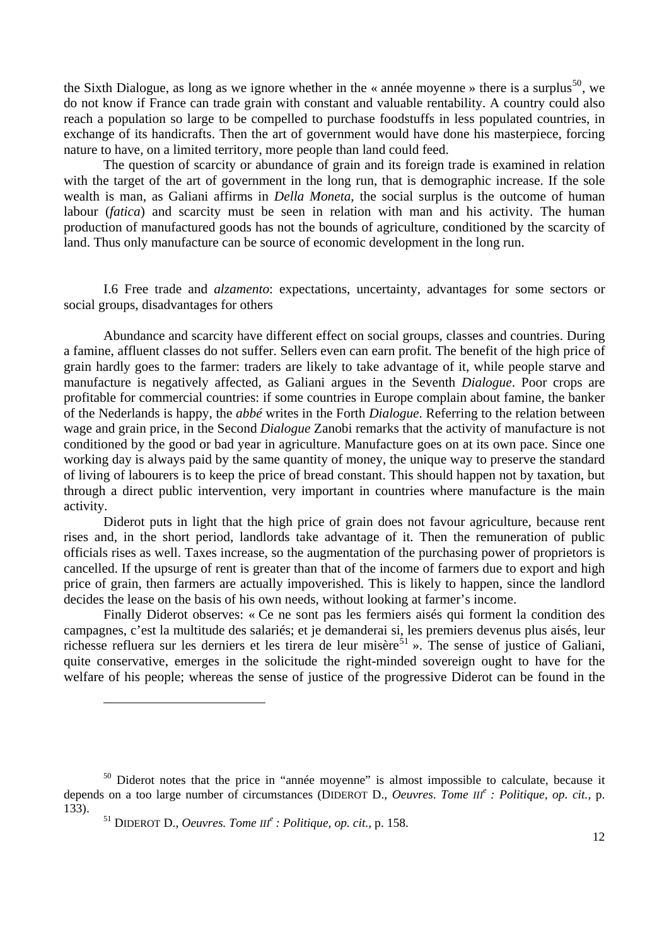the Sixth Dialogue, as long as we ignore whether in the « année moyenne » there is a surplus<sup>[50](#page-11-0)</sup>, we do not know if France can trade grain with constant and valuable rentability. A country could also reach a population so large to be compelled to purchase foodstuffs in less populated countries, in exchange of its handicrafts. Then the art of government would have done his masterpiece, forcing nature to have, on a limited territory, more people than land could feed.

The question of scarcity or abundance of grain and its foreign trade is examined in relation with the target of the art of government in the long run, that is demographic increase. If the sole wealth is man, as Galiani affirms in *Della Moneta*, the social surplus is the outcome of human labour (*fatica*) and scarcity must be seen in relation with man and his activity. The human production of manufactured goods has not the bounds of agriculture, conditioned by the scarcity of land. Thus only manufacture can be source of economic development in the long run.

I.6 Free trade and *alzamento*: expectations, uncertainty, advantages for some sectors or social groups, disadvantages for others

Abundance and scarcity have different effect on social groups, classes and countries. During a famine, affluent classes do not suffer. Sellers even can earn profit. The benefit of the high price of grain hardly goes to the farmer: traders are likely to take advantage of it, while people starve and manufacture is negatively affected, as Galiani argues in the Seventh *Dialogue*. Poor crops are profitable for commercial countries: if some countries in Europe complain about famine, the banker of the Nederlands is happy, the *abbé* writes in the Forth *Dialogue*. Referring to the relation between wage and grain price, in the Second *Dialogue* Zanobi remarks that the activity of manufacture is not conditioned by the good or bad year in agriculture. Manufacture goes on at its own pace. Since one working day is always paid by the same quantity of money, the unique way to preserve the standard of living of labourers is to keep the price of bread constant. This should happen not by taxation, but through a direct public intervention, very important in countries where manufacture is the main activity.

Diderot puts in light that the high price of grain does not favour agriculture, because rent rises and, in the short period, landlords take advantage of it. Then the remuneration of public officials rises as well. Taxes increase, so the augmentation of the purchasing power of proprietors is cancelled. If the upsurge of rent is greater than that of the income of farmers due to export and high price of grain, then farmers are actually impoverished. This is likely to happen, since the landlord decides the lease on the basis of his own needs, without looking at farmer's income.

Finally Diderot observes: « Ce ne sont pas les fermiers aisés qui forment la condition des campagnes, c'est la multitude des salariés; et je demanderai si, les premiers devenus plus aisés, leur richesse refluera sur les derniers et les tirera de leur misère<sup>[51](#page-11-1)</sup> ». The sense of justice of Galiani, quite conservative, emerges in the solicitude the right-minded sovereign ought to have for the welfare of his people; whereas the sense of justice of the progressive Diderot can be found in the

<span id="page-11-1"></span><span id="page-11-0"></span><sup>&</sup>lt;sup>50</sup> Diderot notes that the price in "année moyenne" is almost impossible to calculate, because it depends on a too large number of circumstances (DIDEROT D., *Oeuvres*. *Tome III<sup>e</sup> : Politique, op. cit.,* p. 133).

<sup>51</sup> DIDEROT D., *Oeuvres. Tome III<sup>e</sup> : Politique, op. cit.,* p. 158.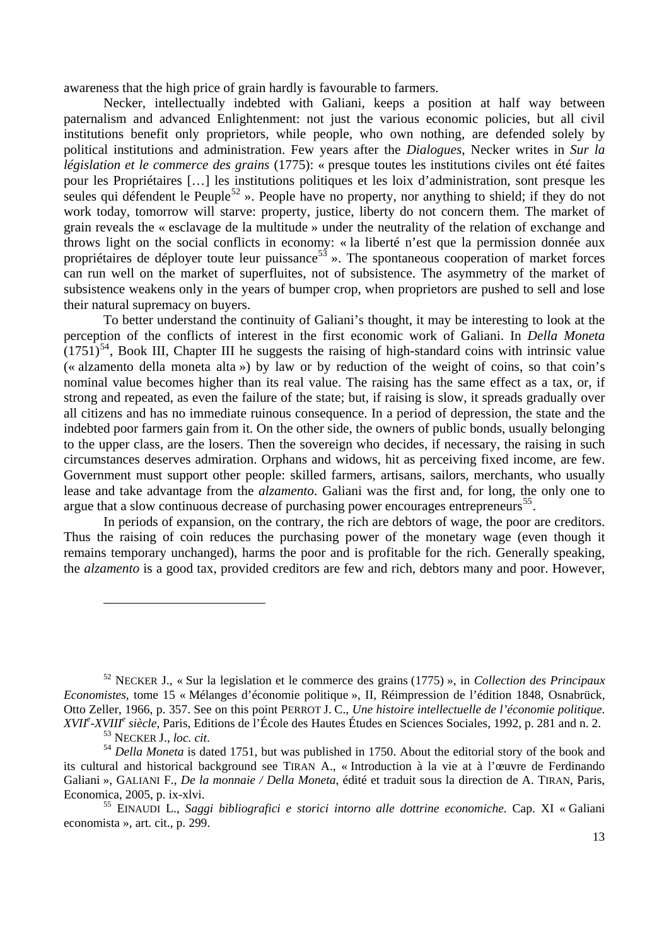awareness that the high price of grain hardly is favourable to farmers.

Necker, intellectually indebted with Galiani, keeps a position at half way between paternalism and advanced Enlightenment: not just the various economic policies, but all civil institutions benefit only proprietors, while people, who own nothing, are defended solely by political institutions and administration. Few years after the *Dialogues*, Necker writes in *Sur la législation et le commerce des grains* (1775): « presque toutes les institutions civiles ont été faites pour les Propriétaires […] les institutions politiques et les loix d'administration, sont presque les seules qui défendent le Peuple<sup>[52](#page-12-0)</sup> ». People have no property, nor anything to shield; if they do not work today, tomorrow will starve: property, justice, liberty do not concern them. The market of grain reveals the « esclavage de la multitude » under the neutrality of the relation of exchange and throws light on the social conflicts in economy: « la liberté n'est que la permission donnée aux propriétaires de déployer toute leur puissance<sup>[53](#page-12-1)</sup> ». The spontaneous cooperation of market forces can run well on the market of superfluites, not of subsistence. The asymmetry of the market of subsistence weakens only in the years of bumper crop, when proprietors are pushed to sell and lose their natural supremacy on buyers.

To better understand the continuity of Galiani's thought, it may be interesting to look at the perception of the conflicts of interest in the first economic work of Galiani. In *Della Moneta*  $(1751)^{54}$  $(1751)^{54}$  $(1751)^{54}$ , Book III, Chapter III he suggests the raising of high-standard coins with intrinsic value (« alzamento della moneta alta ») by law or by reduction of the weight of coins, so that coin's nominal value becomes higher than its real value. The raising has the same effect as a tax, or, if strong and repeated, as even the failure of the state; but, if raising is slow, it spreads gradually over all citizens and has no immediate ruinous consequence. In a period of depression, the state and the indebted poor farmers gain from it. On the other side, the owners of public bonds, usually belonging to the upper class, are the losers. Then the sovereign who decides, if necessary, the raising in such circumstances deserves admiration. Orphans and widows, hit as perceiving fixed income, are few. Government must support other people: skilled farmers, artisans, sailors, merchants, who usually lease and take advantage from the *alzamento*. Galiani was the first and, for long, the only one to argue that a slow continuous decrease of purchasing power encourages entrepreneurs<sup>[55](#page-12-3)</sup>.

In periods of expansion, on the contrary, the rich are debtors of wage, the poor are creditors. Thus the raising of coin reduces the purchasing power of the monetary wage (even though it remains temporary unchanged), harms the poor and is profitable for the rich. Generally speaking, the *alzamento* is a good tax, provided creditors are few and rich, debtors many and poor. However,

<span id="page-12-0"></span><sup>52</sup> NECKER J., « Sur la legislation et le commerce des grains (1775) », in *Collection des Principaux Economistes*, tome 15 « Mélanges d'économie politique », II, Réimpression de l'édition 1848, Osnabrück, Otto Zeller, 1966, p. 357. See on this point PERROT J. C., *Une histoire intellectuelle de l'économie politique. XVIIe -XVIII<sup>e</sup> siècle*, Paris, Editions de l'École des Hautes Études en Sciences Sociales, 1992, p. 281 and n. 2.

<span id="page-12-2"></span><span id="page-12-1"></span><sup>&</sup>lt;sup>53</sup> NECKER J., *loc. cit*.<br><sup>54</sup> *Della Moneta* is dated 1751, but was published in 1750. About the editorial story of the book and its cultural and historical background see TIRAN A., « Introduction à la vie at à l'œuvre de Ferdinando Galiani », GALIANI F., *De la monnaie / Della Moneta*, édité et traduit sous la direction de A. TIRAN, Paris, Economica, 2005, p. ix-xlvi.

<span id="page-12-3"></span><sup>55</sup> EINAUDI L., *Saggi bibliografici e storici intorno alle dottrine economiche.* Cap. XI « Galiani economista », art. cit., p. 299.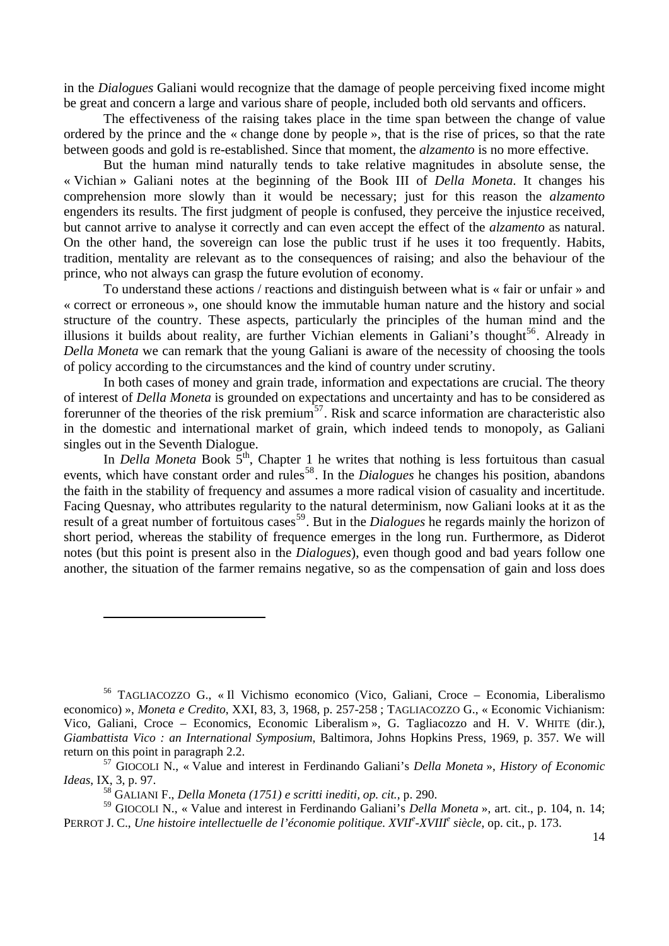in the *Dialogues* Galiani would recognize that the damage of people perceiving fixed income might be great and concern a large and various share of people, included both old servants and officers.

The effectiveness of the raising takes place in the time span between the change of value ordered by the prince and the « change done by people », that is the rise of prices, so that the rate between goods and gold is re-established. Since that moment, the *alzamento* is no more effective.

But the human mind naturally tends to take relative magnitudes in absolute sense, the « Vichian » Galiani notes at the beginning of the Book III of *Della Moneta*. It changes his comprehension more slowly than it would be necessary; just for this reason the *alzamento* engenders its results. The first judgment of people is confused, they perceive the injustice received, but cannot arrive to analyse it correctly and can even accept the effect of the *alzamento* as natural. On the other hand, the sovereign can lose the public trust if he uses it too frequently. Habits, tradition, mentality are relevant as to the consequences of raising; and also the behaviour of the prince, who not always can grasp the future evolution of economy.

To understand these actions / reactions and distinguish between what is « fair or unfair » and « correct or erroneous », one should know the immutable human nature and the history and social structure of the country. These aspects, particularly the principles of the human mind and the illusions it builds about reality, are further Vichian elements in Galiani's thought<sup>[56](#page-13-0)</sup>. Already in *Della Moneta* we can remark that the young Galiani is aware of the necessity of choosing the tools of policy according to the circumstances and the kind of country under scrutiny.

In both cases of money and grain trade, information and expectations are crucial. The theory of interest of *Della Moneta* is grounded on expectations and uncertainty and has to be considered as forerunner of the theories of the risk premium<sup>[57](#page-13-1)</sup>. Risk and scarce information are characteristic also in the domestic and international market of grain, which indeed tends to monopoly, as Galiani singles out in the Seventh Dialogue.

In *Della Moneta* Book 5<sup>th</sup>, Chapter 1 he writes that nothing is less fortuitous than casual events, which have constant order and rules<sup>[58](#page-13-2)</sup>. In the *Dialogues* he changes his position, abandons the faith in the stability of frequency and assumes a more radical vision of casuality and incertitude. Facing Quesnay, who attributes regularity to the natural determinism, now Galiani looks at it as the result of a great number of fortuitous cases<sup>[59](#page-13-3)</sup>. But in the *Dialogues* he regards mainly the horizon of short period, whereas the stability of frequence emerges in the long run. Furthermore, as Diderot notes (but this point is present also in the *Dialogues*), even though good and bad years follow one another, the situation of the farmer remains negative, so as the compensation of gain and loss does

l

<span id="page-13-0"></span><sup>56</sup> TAGLIACOZZO G., « Il Vichismo economico (Vico, Galiani, Croce – Economia, Liberalismo economico) », *Moneta e Credito*, XXI, 83, 3, 1968, p. 257-258 ; TAGLIACOZZO G., « Economic Vichianism: Vico, Galiani, Croce – Economics, Economic Liberalism », G. Tagliacozzo and H. V. WHITE (dir.), *Giambattista Vico : an International Symposium*, Baltimora, Johns Hopkins Press, 1969, p. 357. We will return on this point in paragraph 2.2.

<span id="page-13-1"></span><sup>57</sup> GIOCOLI N., « Value and interest in Ferdinando Galiani's *Della Moneta* », *History of Economic Ideas*, IX, 3, p. 97.

<sup>58</sup> GALIANI F., *Della Moneta (1751) e scritti inediti, op. cit.,* p. 290.

<span id="page-13-3"></span><span id="page-13-2"></span><sup>59</sup> GIOCOLI N., « Value and interest in Ferdinando Galiani's *Della Moneta* », art. cit., p. 104, n. 14; PERROT J. C., *Une histoire intellectuelle de l'économie politique. XVIIe -XVIII<sup>e</sup> siècle*, op. cit., p. 173.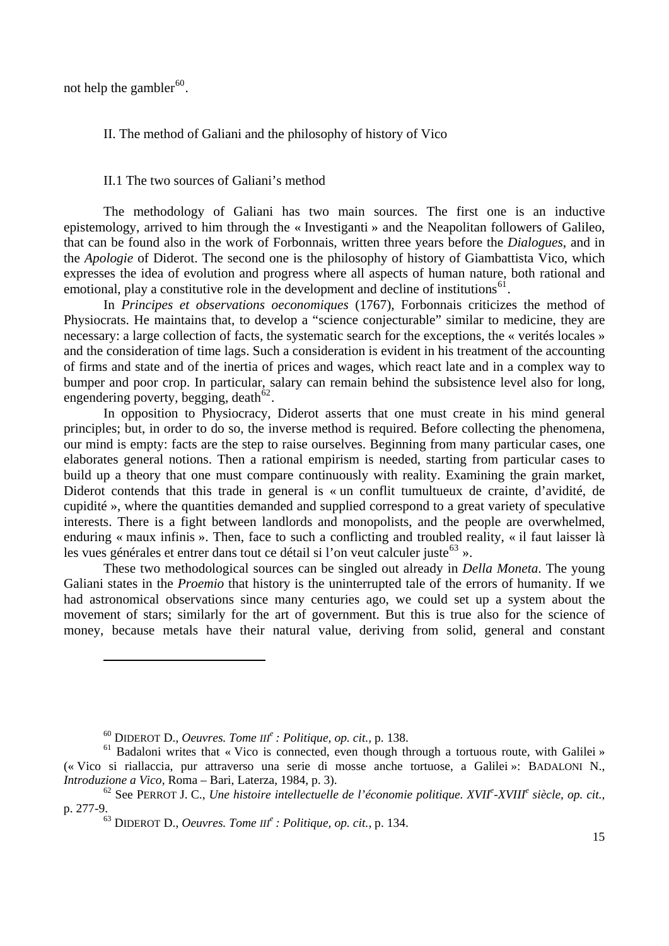not help the gambler<sup>[60](#page-14-0)</sup>.

II. The method of Galiani and the philosophy of history of Vico

# II.1 The two sources of Galiani's method

The methodology of Galiani has two main sources. The first one is an inductive epistemology, arrived to him through the « Investiganti » and the Neapolitan followers of Galileo, that can be found also in the work of Forbonnais, written three years before the *Dialogues*, and in the *Apologie* of Diderot. The second one is the philosophy of history of Giambattista Vico, which expresses the idea of evolution and progress where all aspects of human nature, both rational and emotional, play a constitutive role in the development and decline of institutions<sup>[61](#page-14-1)</sup>.

In *Principes et observations oeconomiques* (1767), Forbonnais criticizes the method of Physiocrats. He maintains that, to develop a "science conjecturable" similar to medicine, they are necessary: a large collection of facts, the systematic search for the exceptions, the « verités locales » and the consideration of time lags. Such a consideration is evident in his treatment of the accounting of firms and state and of the inertia of prices and wages, which react late and in a complex way to bumper and poor crop. In particular, salary can remain behind the subsistence level also for long, engendering poverty, begging, death $62$ .

In opposition to Physiocracy, Diderot asserts that one must create in his mind general principles; but, in order to do so, the inverse method is required. Before collecting the phenomena, our mind is empty: facts are the step to raise ourselves. Beginning from many particular cases, one elaborates general notions. Then a rational empirism is needed, starting from particular cases to build up a theory that one must compare continuously with reality. Examining the grain market, Diderot contends that this trade in general is « un conflit tumultueux de crainte, d'avidité, de cupidité », where the quantities demanded and supplied correspond to a great variety of speculative interests. There is a fight between landlords and monopolists, and the people are overwhelmed, enduring « maux infinis ». Then, face to such a conflicting and troubled reality, « il faut laisser là les vues générales et entrer dans tout ce détail si l'on veut calculer juste  $63 \times$  $63 \times$ .

These two methodological sources can be singled out already in *Della Moneta*. The young Galiani states in the *Proemio* that history is the uninterrupted tale of the errors of humanity. If we had astronomical observations since many centuries ago, we could set up a system about the movement of stars; similarly for the art of government. But this is true also for the science of money, because metals have their natural value, deriving from solid, general and constant

<sup>60</sup> DIDEROT D., *Oeuvres. Tome III<sup>e</sup> : Politique, op. cit.,* p. 138.

<span id="page-14-1"></span><span id="page-14-0"></span><sup>&</sup>lt;sup>61</sup> Badaloni writes that « Vico is connected, even though through a tortuous route, with Galilei » (« Vico si riallaccia, pur attraverso una serie di mosse anche tortuose, a Galilei »: BADALONI N., *Introduzione a Vico*, Roma – Bari, Laterza, 1984, p. 3).

<span id="page-14-3"></span><span id="page-14-2"></span><sup>62</sup> See PERROT J. C., *Une histoire intellectuelle de l'économie politique. XVII<sup>e</sup> -XVIII<sup>e</sup> siècle, op. cit.,* p. 277-9.

<sup>63</sup> DIDEROT D., *Oeuvres. Tome III<sup>e</sup> : Politique, op. cit.,* p. 134.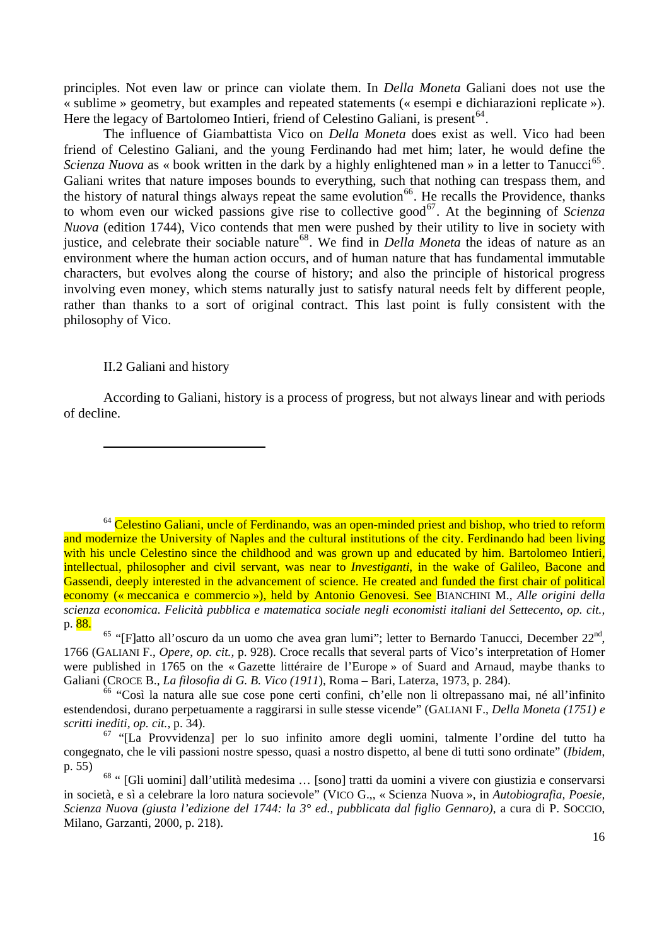principles. Not even law or prince can violate them. In *Della Moneta* Galiani does not use the « sublime » geometry, but examples and repeated statements (« esempi e dichiarazioni replicate »). Here the legacy of Bartolomeo Intieri, friend of Celestino Galiani, is present  $64$ .

philosophy of Vico. The influence of Giambattista Vico on *Della Moneta* does exist as well. Vico had been friend of Celestino Galiani, and the young Ferdinando had met him; later, he would define the *Scienza Nuova* as « book written in the dark by a highly enlightened man » in a letter to Tanucci<sup>[65](#page-15-1)</sup>. Galiani writes that nature imposes bounds to everything, such that nothing can trespass them, and the history of natural things always repeat the same evolution<sup>[66](#page-15-2)</sup>. He recalls the Providence, thanks to whom even our wicked passions give rise to collective good<sup>[67](#page-15-3)</sup>. At the beginning of *Scienza Nuova* (edition 1744), Vico contends that men were pushed by their utility to live in society with justice, and celebrate their sociable nature<sup>[68](#page-15-4)</sup>. We find in *Della Moneta* the ideas of nature as an environment where the human action occurs, and of human nature that has fundamental immutable characters, but evolves along the course of history; and also the principle of historical progress involving even money, which stems naturally just to satisfy natural needs felt by different people, rather than thanks to a sort of original contract. This last point is fully consistent with the

## II.2 Galiani and history

l

According to Galiani, history is a process of progress, but not always linear and with periods of decl ine.

<span id="page-15-0"></span> $64$  Celestino Galiani, uncle of Ferdinando, was an open-minded priest and bishop, who tried to reform and modernize the University of Naples and the cultural institutions of the city. Ferdinando had been living with his uncle Celestino since the childhood and was grown up and educated by him. Bartolomeo Intieri, intellectual, philosopher and civil servant, was near to *Investiganti*, in the wake of Galileo, Bacone and Gassendi, deeply interested in the advancement of science. He created and funded the first chair of political economy (« meccanica e commercio »), held by Antonio Genovesi. See BIANCHINI M., *Alle origini della scienza economica. Felicità pubblica e matematica sociale negli economisti italiani del Settecento*, *op. cit.,* p. 88.

<span id="page-15-1"></span><sup>&</sup>lt;sup>65</sup> "[F]atto all'oscuro da un uomo che avea gran lumi"; letter to Bernardo Tanucci, December 22<sup>nd</sup>, 1766 (GALIANI F., *Opere*, *op. cit.,* p. 928). Croce recalls that several parts of Vico's interpretation of Homer were published in 1765 on the « Gazette littéraire de l'Europe » of Suard and Arnaud, maybe thanks to Galiani (CROCE B., *La filosofia di G. B. Vico (1911*), Roma – Bari, Laterza, 1973, p. 284).

<span id="page-15-2"></span><sup>66 &</sup>quot;Così la natura alle sue cose pone certi confini, ch'elle non li oltrepassano mai, né all'infinito estendendosi, durano perpetuamente a raggirarsi in sulle stesse vicende" (GALIANI F., *Della Moneta (1751) e scritti inediti, op. cit.,* p. 34).

<span id="page-15-3"></span><sup>67 &</sup>quot;[La Provvidenza] per lo suo infinito amore degli uomini, talmente l'ordine del tutto ha congegnato, che le vili passioni nostre spesso, quasi a nostro dispetto, al bene di tutti sono ordinate" (*Ibidem*, p. 55)

<span id="page-15-4"></span><sup>68 &</sup>quot; [Gli uomini] dall'utilità medesima … [sono] tratti da uomini a vivere con giustizia e conservarsi in società, e sì a celebrare la loro natura socievole" (VICO G.,, « Scienza Nuova », in *Autobiografia, Poesie, Scienza Nuova (giusta l'edizione del 1744: la 3° ed., pubblicata dal figlio Gennaro)*, a cura di P. SOCCIO, Milano, Garzanti, 2000, p. 218).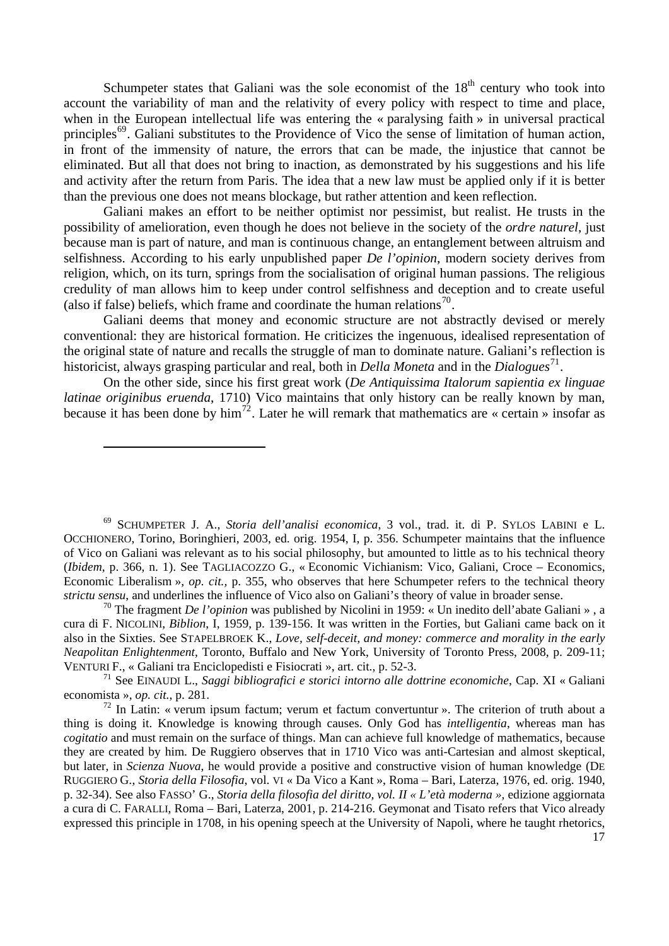and activity after the return from Paris. The idea that a new law must be applied only if it is better than th e previous one does not means blockage, but rather attention and keen reflection. Schumpeter states that Galiani was the sole economist of the  $18<sup>th</sup>$  century who took into account the variability of man and the relativity of every policy with respect to time and place, when in the European intellectual life was entering the « paralysing faith » in universal practical principles<sup>[69](#page-16-0)</sup>. Galiani substitutes to the Providence of Vico the sense of limitation of human action, in front of the immensity of nature, the errors that can be made, the injustice that cannot be eliminated. But all that does not bring to inaction, as demonstrated by his suggestions and his life

credulity of man allows him to keep under control selfishness and deception and to create useful (also if false) beliefs, which frame and coordinate the human relations<sup>[70](#page-16-1)</sup>. Galiani makes an effort to be neither optimist nor pessimist, but realist. He trusts in the possibility of amelioration, even though he does not believe in the society of the *ordre naturel*, just because man is part of nature, and man is continuous change, an entanglement between altruism and selfishness. According to his early unpublished paper *De l'opinion*, modern society derives from religion, which, on its turn, springs from the socialisation of original human passions. The religious

the original state of nature and recalls the struggle of man to dominate nature. Galiani's reflection is historicist, always grasping particular and real, both in *Della Moneta* and in the *Dialogues*<sup>[71](#page-16-2)</sup>. Galiani deems that money and economic structure are not abstractly devised or merely conventional: they are historical formation. He criticizes the ingenuous, idealised representation of

because it has been done by him<sup>72</sup>. Later he will remark that mathematics are « certain » insofar as On the other side, since his first great work (*De Antiquissima Italorum sapientia ex linguae latinae originibus eruenda*, 1710) Vico maintains that only history can be really known by man,

l

<span id="page-16-0"></span>(*Ibidem*, p. 366, n. 1). See TAGLIACOZZO G., « Economic Vichianism: Vico, Galiani, Croce – Economics, Econom ic Liberalism », *op. cit.,* p. 355, who observes that here Schumpeter refers to the technical theory 69 SCHUMPETER J. A., *Storia dell'analisi economica*, 3 vol., trad. it. di P. SYLOS LABINI e L. OCCHIONERO, Torino, Boringhieri, 2003, ed. orig. 1954, I, p. 356. Schumpeter maintains that the influence of Vico on Galiani was relevant as to his social philosophy, but amounted to little as to his technical theory *strictu sensu*, and underlines the influence of Vico also on Galiani's theory of value in broader sense.

*commerce and morality in the early*  also in the Sixties. See STAPELBROEK K., *Love, self-deceit, and money: Neapoli tan Enlightenment*, Toronto, Buffalo and New York, University of Toronto Press, 2008, p. 209-11; VENTURI F., « Galiani tra Enciclopedisti e Fisiocrati », art. cit., p. 52-3. 70 The fragment *De l'opinion* was published by Nicolini in 1959: « Un inedito dell'abate Galiani » , a cura di F. NICOLINI, *Biblion*, I, 1959, p. 139-156. It was written in the Forties, but Galiani came back on it

<span id="page-16-1"></span>71 See EINAUDI L., *Saggi bibliografici e storici intorno alle dottrine economiche*, Cap. XI « Galiani economista », *op. cit.*, p. 281.

<span id="page-16-2"></span> $\frac{72}{12}$  In Latin: « verum ipsum factum; verum et factum convertuntur ». The criterion of truth about a thing is doing it. Knowledge is knowing through causes. Only God has *intelligentia*, whereas man has *cogitatio* and must remain on the surface of things. Man can achieve full knowledge of mathematics, because they are created by him. De Ruggiero observes that in 1710 Vico was anti-Cartesian and almost skeptical, but later, in *Scienza Nuova*, he would provide a positive and constructive vision of human knowledge (DE RUGGIERO G., *Storia della Filosofia*, vol. VI « Da Vico a Kant », Roma – Bari, Laterza, 1976, ed. orig. 1940, p. 32-34). See also FASSO' G., *Storia della filosofia del diritto, vol. II « L'età moderna »*, edizione aggiornata a cura di C. FARALLI, Roma – Bari, Laterza, 2001, p. 214-216. Geymonat and Tisato refers that Vico already expressed this principle in 1708, in his opening speech at the University of Napoli, where he taught rhetorics,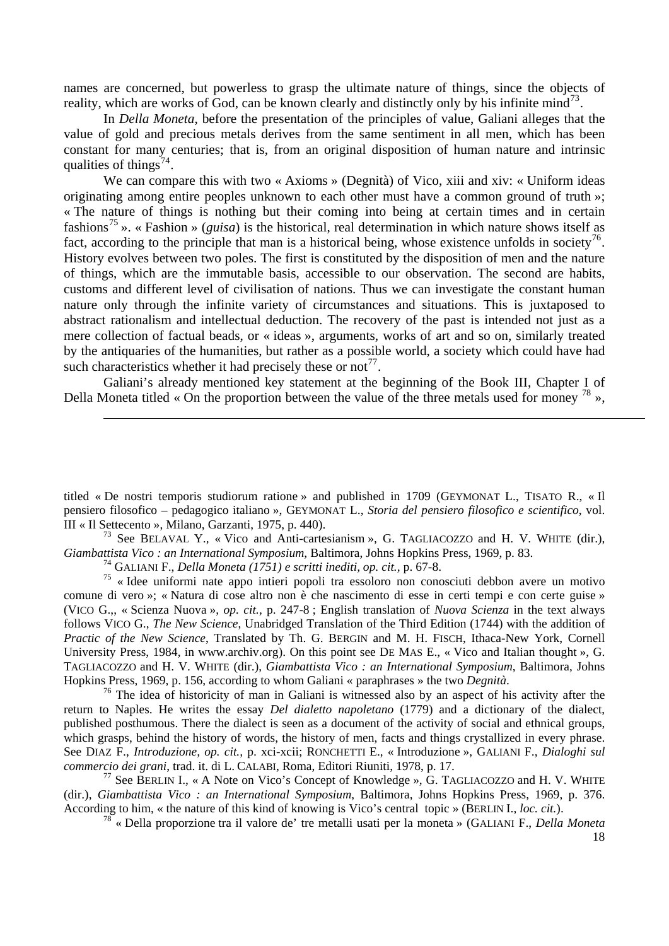names are concerned, but powerless to grasp the ultimate nature of things, since the objects of reality, which are works of God, can be known clearly and distinctly only by his infinite mind<sup>[73](#page-17-0)</sup>.

In *Della Moneta*, before the presentation of the principles of value, Galiani alleges that the value of gold and precious metals derives from the same sentiment in all men, which has been constant for many centuries; that is, from an original disposition of human nature and intrinsic qualities of things<sup>[74](#page-17-1)</sup>.

We can compare this with two « Axioms » (Degnità) of Vico, xiii and xiv: « Uniform ideas originating among entire peoples unknown to each other must have a common ground of truth »; « The nature of things is nothing but their coming into being at certain times and in certain fashions[75](#page-17-2) ». « Fashion » (*guisa*) is the historical, real determination in which nature shows itself as fact, according to the principle that man is a historical being, whose existence unfolds in society<sup>[76](#page-17-3)</sup>. History evolves between two poles. The first is constituted by the disposition of men and the nature of things, which are the immutable basis, accessible to our observation. The second are habits, customs and different level of civilisation of nations. Thus we can investigate the constant human nature only through the infinite variety of circumstances and situations. This is juxtaposed to abstract rationalism and intellectual deduction. The recovery of the past is intended not just as a mere collection of factual beads, or « ideas », arguments, works of art and so on, similarly treated by the antiquaries of the humanities, but rather as a possible world, a society which could have had such characteristics whether it had precisely these or not<sup>[77](#page-17-4)</sup>.

Galiani's already mentioned key statement at the beginning of the Book III, Chapter I of Della Moneta titled « On the proportion between the value of the three metals used for money  $^{78}$  $^{78}$  $^{78}$  »,

<span id="page-17-0"></span><sup>73</sup> See BELAVAL Y., « Vico and Anti-cartesianism », G. TAGLIACOZZO and H. V. WHITE (dir.), Giambattista Vico : an International Symposium, Baltimora, Johns Hopkins Press, 1969, p. 83.

74 GALIANI F., *Della Moneta (1751) e scritti inediti, op. cit.,* p. 67-8.

<sup>-</sup>

<span id="page-17-2"></span><span id="page-17-1"></span>TAGLIACOZZO and H. V. WHITE (dir.), *Giambattista Vico : an International Symposium*, Baltimora, Johns Hopkins Press, 1969, p. 156, according to whom Galiani « paraphrases » the two Degnità.  $75$  « Idee uniformi nate appo intieri popoli tra essoloro non conosciuti debbon avere un motivo comune di vero »; « Natura di cose altro non è che nascimento di esse in certi tempi e con certe guise » (VICO G.,, « Scienza Nuova », *op. cit.,* p. 247-8 ; English translation of *Nuova Scienza* in the text always follows VICO G., *The New Science*, Unabridged Translation of the Third Edition (1744) with the addition of *Practic of the New Science*, Translated by Th. G. BERGIN and M. H. FISCH, Ithaca-New York, Cornell University Press, 1984, in www.archiv.org). On this point see DE MAS E., « Vico and Italian thought », G.

<span id="page-17-3"></span>See DIAZ F., *Introduzione, op. cit.*, p. xci-xcii; RONCHETTI E., « Introduzione », GALIANI F., *Dialoghi sul commer cio dei grani*, trad. it. di L. CALABI, Roma, Editori Riuniti, 1978, p. 17. <sup>76</sup> The idea of historicity of man in Galiani is witnessed also by an aspect of his activity after the return to Naples. He writes the essay *Del dialetto napoletano* (1779) and a dictionary of the dialect, published posthumous. There the dialect is seen as a document of the activity of social and ethnical groups, which grasps, behind the history of words, the history of men, facts and things crystallized in every phrase.

<span id="page-17-5"></span><span id="page-17-4"></span>(dir.), *Giambattista Vico : an International Symposium*, Baltimora, Johns Hopkins Press, 1969, p. 376. Accord ing to him, « the nature of this kind of knowing is Vico's central topic » (BERLIN I., *loc. cit.*). <sup>77</sup> See BERLIN I., « A Note on Vico's Concept of Knowledge », G. TAGLIACOZZO and H. V. WHITE

<sup>78</sup> « Della proporzione tra il valore de' tre metalli usati per la moneta » (GALIANI F., *Della Moneta* 

titled « De nostri temporis studiorum ratione » and published in 1709 (GEYMONAT L., TISATO R., « Il pensiero filosofico – pedagogico italiano », GEYMONAT L., Storia del pensiero filosofico e scientifico, vol. III « Il S ettecento », Milano, Garzanti, 1975, p. 440).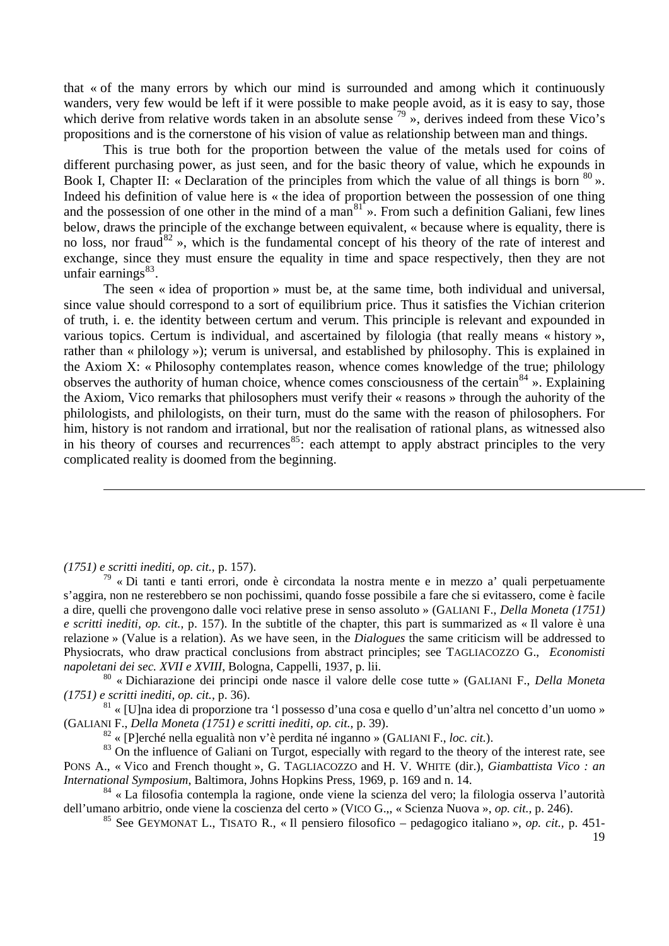that « of the many errors by which our mind is surrounded and among which it continuously wanders, very few would be left if it were possible to make people avoid, as it is easy to say, those which derive from relative words taken in an absolute sense  $\frac{79}{9}$  $\frac{79}{9}$  $\frac{79}{9}$  », derives indeed from these Vico's propositions and is the cornerstone of his vision of value as relationship between man and things.

This is true both for the proportion between the value of the metals used for coins of different purchasing power, as just seen, and for the basic theory of value, which he expounds in Book I, Chapter II: « Declaration of the principles from which the value of all things is born  $80 \times$  $80 \times$ . Indeed his definition of value here is « the idea of proportion between the possession of one thing and the possession of one other in the mind of a man $^{81}$  $^{81}$  $^{81}$ ». From such a definition Galiani, few lines below, draws the principle of the exchange between equivalent, « because where is equality, there is no loss, nor fraud $^{82}$  $^{82}$  $^{82}$  », which is the fundamental concept of his theory of the rate of interest and exchange, since they must ensure the equality in time and space respectively, then they are not unfair earnings $^{83}$  $^{83}$  $^{83}$ .

The seen « idea of proportion » must be, at the same time, both individual and universal, since value should correspond to a sort of equilibrium price. Thus it satisfies the Vichian criterion of truth, i. e. the identity between certum and verum. This principle is relevant and expounded in various topics. Certum is individual, and ascertained by filologia (that really means « history », rather than « philology »); verum is universal, and established by philosophy. This is explained in the Axiom X: « Philosophy contemplates reason, whence comes knowledge of the true; philology observes the authority of human choice, whence comes consciousness of the certain<sup>[84](#page-18-5)</sup> ». Explaining the Axiom, Vico remarks that philosophers must verify their « reasons » through the auhority of the philologists, and philologists, on their turn, must do the same with the reason of philosophers. For him, history is not random and irrational, but nor the realisation of rational plans, as witnessed also in his theory of courses and recurrences<sup>[85](#page-18-6)</sup>: each attempt to apply abstract principles to the very complicated reality is doomed from the beginning.

*(1751) e scritti inediti, op. cit.,* p. 157).

-

<span id="page-18-0"></span>Physiocrats, who draw practical conclusions from abstract principles; see TAGLIACOZZO G., *Economisti napolet ani dei sec. XVII e XVIII*, Bologna, Cappelli, 1937, p. lii.  $79 \times$  Di tanti e tanti errori, onde è circondata la nostra mente e in mezzo a' quali perpetuamente s'aggira, non ne resterebbero se non pochissimi, quando fosse possibile a fare che si evitassero, come è facile a dire, quelli che provengono dalle voci relative prese in senso assoluto » (GALIANI F., *Della Moneta (1751) e scritti inediti, op. cit.,* p. 157). In the subtitle of the chapter, this part is summarized as « Il valore è una relazione » (Value is a relation). As we have seen, in the *Dialogues* the same criticism will be addressed to

<span id="page-18-1"></span><sup>80</sup> « Dichiarazione dei principi onde nasce il valore delle cose tutte » (GALIANI F., *Della Moneta (1751) e scritti inediti, op. cit.,* p. 36).

<span id="page-18-2"></span> $81 \times$ [U]na idea di proporzione tra 'l possesso d'una cosa e quello d'un'altra nel concetto d'un uomo » (GALIA NI F., *Della Moneta (1751) e scritti inediti, op. cit.,* p. 39).

82 « [P]erché nella egualità non v'è perdita né inganno » (GALIANI F., *loc. cit.*).

<span id="page-18-4"></span><span id="page-18-3"></span>PONS A., « Vico and French thought », G. TAGLIACOZZO and H. V. WHITE (dir.), Giambattista Vico : an *Interna tional Symposium*, Baltimora, Johns Hopkins Press, 1969, p. 169 and n. 14. <sup>83</sup> On the influence of Galiani on Turgot, especially with regard to the theory of the interest rate, see

<span id="page-18-6"></span><span id="page-18-5"></span> $84 \times$  La filosofia contempla la ragione, onde viene la scienza del vero; la filologia osserva l'autorità dell'um ano arbitrio, onde viene la coscienza del certo » (VICO G.,, « Scienza Nuova », *op. cit.,* p. 246).

85 See GEYMONAT L., TISATO R., « Il pensiero filosofico – pedagogico italiano », *op. cit.,* p. 451-

19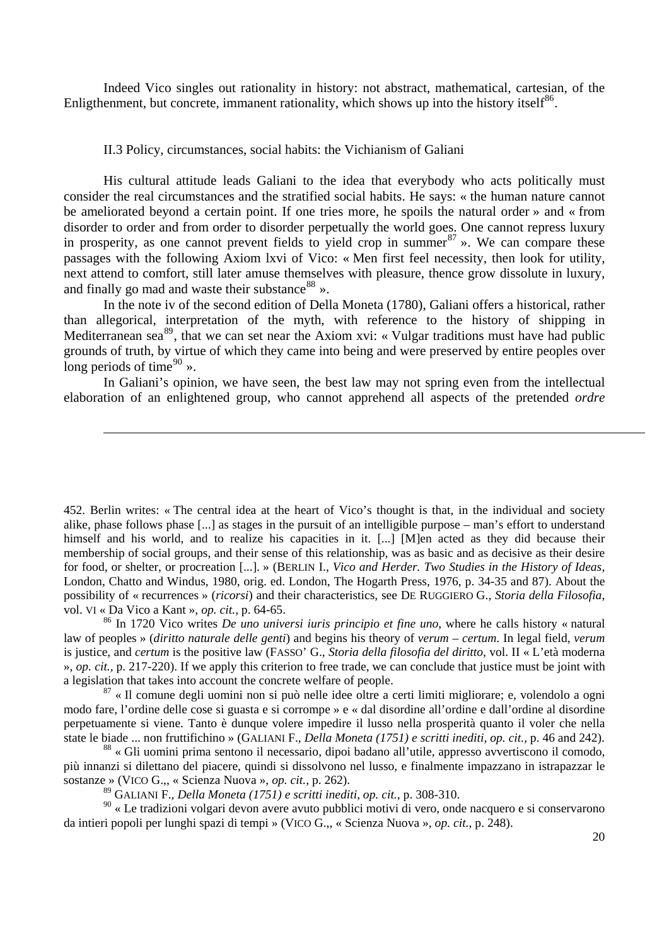Indeed Vico singles out rationality in history: not abstract, mathematical, cartesian, of the Enligthenment, but concrete, immanent rationality, which shows up into the history itself<sup>[86](#page-19-0)</sup>.

#### II.3 Policy, circumstances, social habits: the Vichianism of Galiani

-

His cultural attitude leads Galiani to the idea that everybody who acts politically must consider the real circumstances and the stratified social habits. He says: « the human nature cannot be ameliorated beyond a certain point. If one tries more, he spoils the natural order » and « from disorder to order and from order to disorder perpetually the world goes. One cannot repress luxury in prosperity, as one cannot prevent fields to yield crop in summer  $87 \times$  $87 \times$ . We can compare these passages with the following Axiom lxvi of Vico: « Men first feel necessity, then look for utility, next attend to comfort, still later amuse themselves with pleasure, thence grow dissolute in luxury, and finally go mad and waste their substance  $88 \times$  $88 \times$ .

In the note iv of the second edition of Della Moneta (1780), Galiani offers a historical, rather than allegorical, interpretation of the myth, with reference to the history of shipping in Mediterranean sea<sup>[89](#page-19-3)</sup>, that we can set near the Axiom xvi: « Vulgar traditions must have had public grounds of truth, by virtue of which they came into being and were preserved by entire peoples over long periods of time $^{90}$  $^{90}$  $^{90}$  ».

In Galiani's opinion, we have seen, the best law may not spring even from the intellectual elaboration of an enlightened group, who cannot apprehend all aspects of the pretended *ordre* 

<span id="page-19-1"></span> $87 \times$ Il comune degli uomini non si può nelle idee oltre a certi limiti migliorare; e, volendolo a ogni modo fare, l'ordine delle cose si guasta e si corrompe » e « dal disordine all'ordine e dall'ordine al disordine perpetuamente si viene. Tanto è dunque volere impedire il lusso nella prosperità quanto il voler che nella state le biade ... non fruttifichino » (GALIANI F., *Della Moneta (1751) e scritti inediti, op. cit.,* p. 46 and 242).

<span id="page-19-2"></span>88 « Gli uomini prima sentono il necessario, dipoi badano all'utile, appresso avvertiscono il comodo, più innanzi si dilettano del piacere, quindi si dissolvono nel lusso, e finalmente impazzano in istrapazzar le sostanze » (VICO G.,, « Scienza Nuova », *op. cit.,* p. 262).

89 GALIANI F., *Della Moneta (1751) e scritti inediti, op. cit.,* p. 308-310.

<span id="page-19-4"></span><span id="page-19-3"></span>90 « Le tradizioni volgari devon avere avuto pubblici motivi di vero, onde nacquero e si conservarono da intieri popoli per lunghi spazi di tempi » (VICO G.,, « Scienza Nuova », *op. cit.,* p. 248).

<sup>452.</sup> Berlin writes: « The central idea at the heart of Vico's thought is that, in the individual and society alike, phase follows phase [...] as stages in the pursuit of an intelligible purpose – man's effort to understand himself and his world, and to realize his capacities in it. [...] [M]en acted as they did because their membership of social groups, and their sense of this relationship, was as basic and as decisive as their desire for food, or shelter, or procreation [...]. » (BERLIN I., *Vico and Herder. Two Studies in the History of Ideas*, London, Chatto and Windus, 1980, orig. ed. London, The Hogarth Press, 1976, p. 34-35 and 87). About the possibility of « recurrences » (*ricorsi*) and their characteristics, see DE RUGGIERO G., *Storia della Filosofia*, vol. VI « Da Vico a Kant », *op. cit.,* p. 64-65.

<span id="page-19-0"></span><sup>86</sup> In 1720 Vico writes *De uno universi iuris principio et fine uno*, where he calls history « natural law of peoples » (*diritto naturale delle genti*) and begins his theory of *verum* – *certum*. In legal field, *verum* is justice, and *certum* is the positive law (FASSO' G., *Storia della filosofia del diritto,* vol. II « L'età moderna », *op. cit.,* p. 217-220). If we apply this criterion to free trade, we can conclude that justice must be joint with a legislation that takes into account the concrete welfare of people.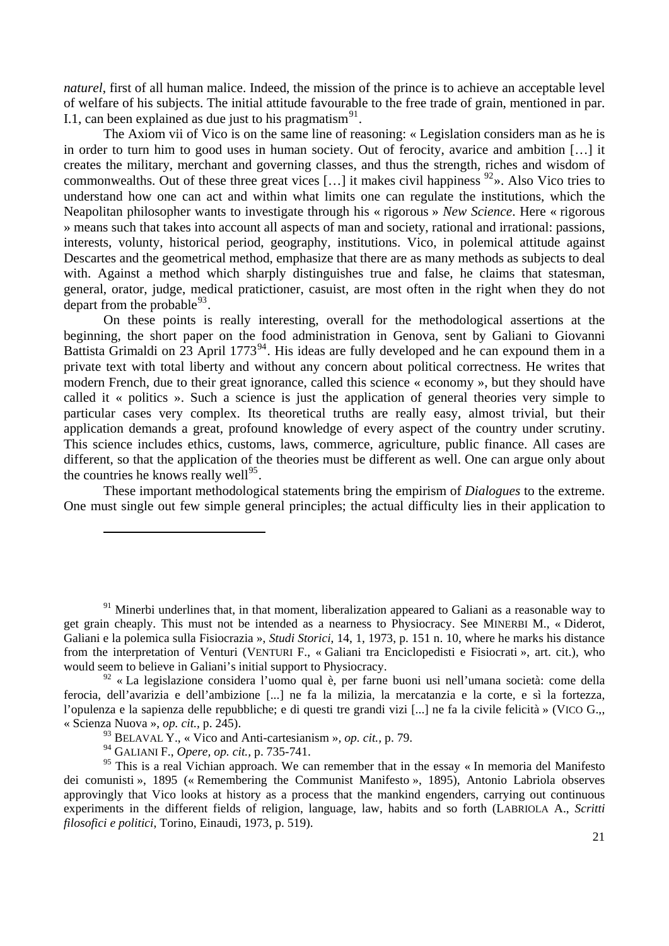of welfare of his subjects. The initial attitude favourable to the free trade of grain, mentioned in par. I.1, can been explained as due just to his pragmatism<sup>[91](#page-20-0)</sup>. *naturel*, first of all human malice. Indeed, the mission of the prince is to achieve an acceptable level

general, orator, judge, medical pratictioner, casuist, are most often in the right when they do not depart from the probable $93$ . The Axiom vii of Vico is on the same line of reasoning: « Legislation considers man as he is in order to turn him to good uses in human society. Out of ferocity, avarice and ambition […] it creates the military, merchant and governing classes, and thus the strength, riches and wisdom of commonwealths. Out of these three great vices [...] it makes civil happiness  $92$ ». Also Vico tries to understand how one can act and within what limits one can regulate the institutions, which the Neapolitan philosopher wants to investigate through his « rigorous » *New Science*. Here « rigorous » means such that takes into account all aspects of man and society, rational and irrational: passions, interests, volunty, historical period, geography, institutions. Vico, in polemical attitude against Descartes and the geometrical method, emphasize that there are as many methods as subjects to deal with. Against a method which sharply distinguishes true and false, he claims that statesman,

different, so that the application of the theories must be different as well. One can argue only about the countries he knows really well $^{95}$ . On these points is really interesting, overall for the methodological assertions at the beginning, the short paper on the food administration in Genova, sent by Galiani to Giovanni Battista Grimaldi on  $23$  April 1773<sup>[94](#page-20-3)</sup>. His ideas are fully developed and he can expound them in a private text with total liberty and without any concern about political correctness. He writes that modern French, due to their great ignorance, called this science « economy », but they should have called it « politics ». Such a science is just the application of general theories very simple to particular cases very complex. Its theoretical truths are really easy, almost trivial, but their application demands a great, profound knowledge of every aspect of the country under scrutiny. This science includes ethics, customs, laws, commerce, agriculture, public finance. All cases are

One must single out few simple general principles; the actual difficulty lies in their application to These important methodological statements bring the empirism of *Dialogues* to the extreme.

 $91$  Minerbi underlines that, in that moment, liberalization appeared to Galiani as a reasonable way to get grain cheaply. This must not be intended as a nearness to Physiocracy. See MINERBI M., « Diderot, Galiani e la polemica sulla Fisiocrazia », *Studi Storici*, 14, 1, 1973, p. 151 n. 10, where he marks his distance from the interpretation of Venturi (VENTURI F., « Galiani tra Enciclopedisti e Fisiocrati », art. cit.), who would seem to believe in Galiani's initial support to Physiocracy.

<span id="page-20-0"></span> $92 \times$  La legislazione considera l'uomo qual è, per farne buoni usi nell'umana società: come della ferocia, dell'avarizia e dell'ambizione [...] ne fa la milizia, la mercatanzia e la corte, e sì la fortezza, l'opulenza e la sapienza delle repubbliche; e di questi tre grandi vizi [...] ne fa la civile felicità » (VICO G.,, « Scienza Nuova », *op. cit.,* p. 245).

<sup>93</sup> BELAVAL Y., « Vico and Anti-cartesianism »*, op. cit.,* p. 79.

<sup>94</sup> GALIANI F., *Opere, op. cit.,* p. 735-741.

<span id="page-20-3"></span><span id="page-20-2"></span><span id="page-20-1"></span> $95$  This is a real Vichian approach. We can remember that in the essay « In memoria del Manifesto dei comunisti », 1895 (« Remembering the Communist Manifesto », 1895), Antonio Labriola observes approvingly that Vico looks at history as a process that the mankind engenders, carrying out continuous experiments in the different fields of religion, language, law, habits and so forth (LABRIOLA A., *Scritti filosofici e politici*, Torino, Einaudi, 1973, p. 519).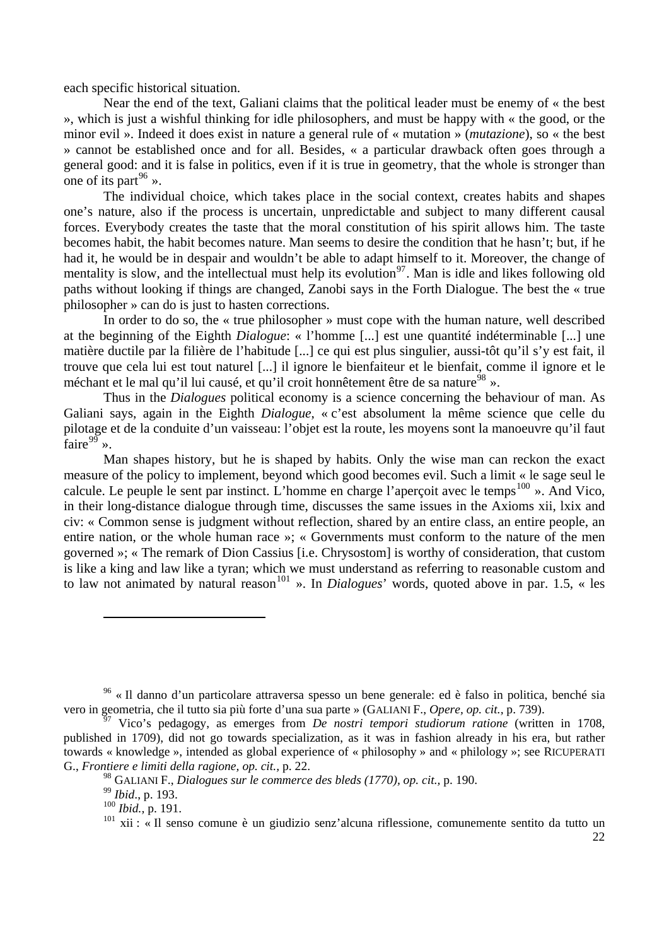each sp ecific historical situation.

general good: and it is false in politics, even if it is true in geometry, that the whole is stronger than one of its part<sup>[96](#page-21-0)</sup> ». Near the end of the text, Galiani claims that the political leader must be enemy of « the best », which is just a wishful thinking for idle philosophers, and must be happy with « the good, or the minor evil ». Indeed it does exist in nature a general rule of « mutation » (*mutazione*), so « the best » cannot be established once and for all. Besides, « a particular drawback often goes through a

paths without looking if things are changed, Zanobi says in the Forth Dialogue. The best the « true philoso pher » can do is just to hasten corrections. The individual choice, which takes place in the social context, creates habits and shapes one's nature, also if the process is uncertain, unpredictable and subject to many different causal forces. Everybody creates the taste that the moral constitution of his spirit allows him. The taste becomes habit, the habit becomes nature. Man seems to desire the condition that he hasn't; but, if he had it, he would be in despair and wouldn't be able to adapt himself to it. Moreover, the change of mentality is slow, and the intellectual must help its evolution<sup>[97](#page-21-0)</sup>. Man is idle and likes following old

trouve que cela lui est tout naturel [...] il ignore le bienfaiteur et le bienfait, comme il ignore et le méchant et le mal qu'il lui causé, et qu'il croit honnêtement être de sa nature<sup>[98](#page-21-1)</sup> ». In order to do so, the « true philosopher » must cope with the human nature, well described at the beginning of the Eighth *Dialogue*: « l'homme [...] est une quantité indéterminable [...] une matière ductile par la filière de l'habitude [...] ce qui est plus singulier, aussi-tôt qu'il s'y est fait, il

pilotage et de la conduite d'un vaisseau: l'objet est la route, les moyens sont la manoeuvre qu'il faut faire $^{99}$ ». Thus in the *Dialogues* political economy is a science concerning the behaviour of man. As Galiani says, again in the Eighth *Dialogue*, « c'est absolument la même science que celle du

to law not animated by natural reason<sup>101</sup> ». In *Dialogues*' words, quoted above in par. 1.5, « les Man shapes history, but he is shaped by habits. Only the wise man can reckon the exact measure of the policy to implement, beyond which good becomes evil. Such a limit « le sage seul le calcule. Le peuple le sent par instinct. L'homme en charge l'aperçoit avec le temps<sup>[100](#page-21-2)</sup> ». And Vico, in their long-distance dialogue through time, discusses the same issues in the Axioms xii, lxix and civ: « Common sense is judgment without reflection, shared by an entire class, an entire people, an entire nation, or the whole human race »; « Governments must conform to the nature of the men governed »; « The remark of Dion Cassius [i.e. Chrysostom] is worthy of consideration, that custom is like a king and law like a tyran; which we must understand as referring to reasonable custom and

l

<sup>96 «</sup> Il danno d'un particolare attraversa spesso un bene generale: ed è falso in politica, benché sia vero in geometria, che il tutto sia più forte d'una sua parte » (GALIANI F., *Opere, op. cit.,* p. 739).

<span id="page-21-1"></span><span id="page-21-0"></span>published in 1709), did not go towards specialization, as it was in fashion already in his era, but rather towards « knowledge », intended as global experience of « philosophy » and « philology »; see RICUPERATI G., *Frontiere e limiti della ragione, op. cit.,* p. 22. 97 Vico's pedagogy, as emerges from *De nostri tempori studiorum ratione* (written in 1708,

<sup>&</sup>lt;sup>98</sup> GALIANI F., *Dialogues sur le commerce des bleds (1770), op. cit., p. 190.* 

<sup>99</sup> *Ibid*., p. 193.

<span id="page-21-2"></span><sup>100</sup> *Ibid.,* p. 191.

 $101$  xii : « Il senso comune è un giudizio senz'alcuna riflessione, comunemente sentito da tutto un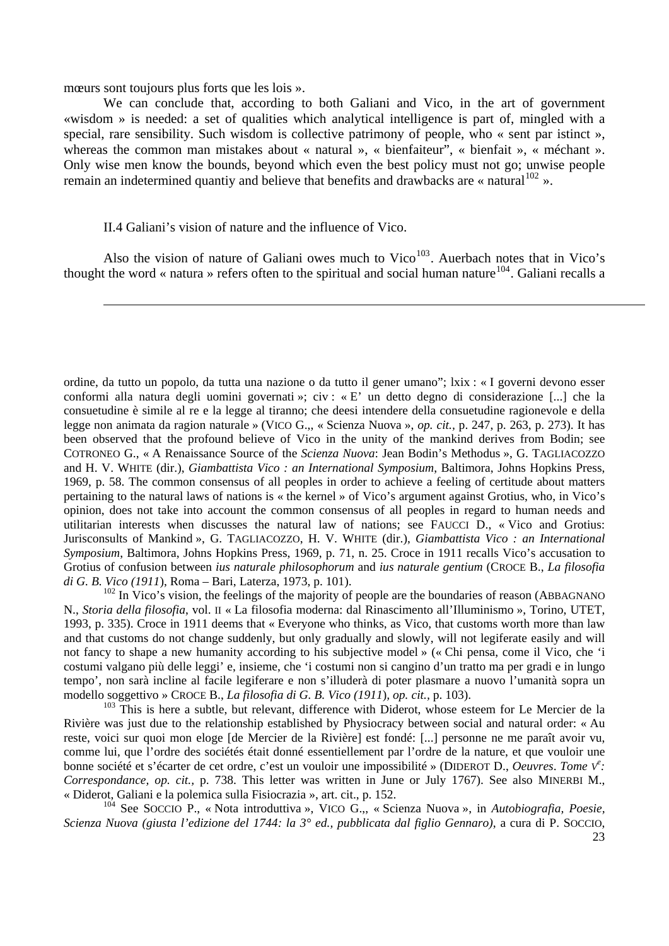mœurs sont toujours plus forts que les lois ».

<sup>-</sup>

We can conclude that, according to both Galiani and Vico, in the art of government «wisdom » is needed: a set of qualities which analytical intelligence is part of, mingled with a special, rare sensibility. Such wisdom is collective patrimony of people, who « sent par istinct », whereas the common man mistakes about « natural », « bienfaiteur", « bienfait », « méchant ». Only wise men know the bounds, beyond which even the best policy must not go; unwise people remain an indetermined quantiy and believe that benefits and drawbacks are « natural  $102$  ».

## II.4 Galiani's vision of nature and the influence of Vico.

Also the vision of nature of Galiani owes much to Vico<sup>[103](#page-22-1)</sup>. Auerbach notes that in Vico's thought the word « natura » refers often to the spiritual and social human nature<sup>[104](#page-22-2)</sup>. Galiani recalls a

ordine, da tutto un popolo, da tutta una nazione o da tutto il gener umano"; lxix : « I governi devono esser Grotius of confusion between *ius naturale philosophorum* and *ius naturale gentium* (CROCE B., *La filosofia di G. B. Vico (1911*), Roma – Bari, Laterza, 1973, p. 101). conformi alla natura degli uomini governati »; civ : « E' un detto degno di considerazione [...] che la consuetudine è simile al re e la legge al tiranno; che deesi intendere della consuetudine ragionevole e della legge non animata da ragion naturale » (VICO G.,, « Scienza Nuova », *op. cit.,* p. 247, p. 263, p. 273). It has been observed that the profound believe of Vico in the unity of the mankind derives from Bodin; see COTRONEO G., « A Renaissance Source of the *Scienza Nuova*: Jean Bodin's Methodus », G. TAGLIACOZZO and H. V. WHITE (dir.), *Giambattista Vico : an International Symposium*, Baltimora, Johns Hopkins Press, 1969, p. 58. The common consensus of all peoples in order to achieve a feeling of certitude about matters pertaining to the natural laws of nations is « the kernel » of Vico's argument against Grotius, who, in Vico's opinion, does not take into account the common consensus of all peoples in regard to human needs and utilitarian interests when discusses the natural law of nations; see FAUCCI D., « Vico and Grotius: Jurisconsults of Mankind », G. TAGLIACOZZO, H. V. WHITE (dir.), *Giambattista Vico : an International Symposium*, Baltimora, Johns Hopkins Press, 1969, p. 71, n. 25. Croce in 1911 recalls Vico's accusation to

<span id="page-22-0"></span>tempo', non sarà incline al facile legiferare e non s'illuderà di poter plasmare a nuovo l'umanità sopra un modello soggettivo » CROCE B., *La filosofia di G. B. Vico (1911*)*, op. cit.,* p. 103).  $102$  In Vico's vision, the feelings of the majority of people are the boundaries of reason (ABBAGNANO) N., *Storia della filosofia*, vol. II « La filosofia moderna: dal Rinascimento all'Illuminismo », Torino, UTET, 1993, p. 335). Croce in 1911 deems that « Everyone who thinks, as Vico, that customs worth more than law and that customs do not change suddenly, but only gradually and slowly, will not legiferate easily and will not fancy to shape a new humanity according to his subjective model » (« Chi pensa, come il Vico, che 'i costumi valgano più delle leggi' e, insieme, che 'i costumi non si cangino d'un tratto ma per gradi e in lungo

<span id="page-22-1"></span>Correspondance, op. cit., p. 738. This letter was written in June or July 1767). See also MINERBI M., « Dider ot, Galiani e la polemica sulla Fisiocrazia », art. cit., p. 152.  $103$  This is here a subtle, but relevant, difference with Diderot, whose esteem for Le Mercier de la Rivière was just due to the relationship established by Physiocracy between social and natural order: « Au reste, voici sur quoi mon eloge [de Mercier de la Rivière] est fondé: [...] personne ne me paraît avoir vu, comme lui, que l'ordre des sociétés était donné essentiellement par l'ordre de la nature, et que vouloir une bonne société et s'écarter de cet ordre, c'est un vouloir une impossibilité » (DIDEROT D., *Oeuvres*. *Tome V<sup>e</sup> :* 

<span id="page-22-2"></span>Scienza Nuova (giusta l'edizione del 1744: la 3<sup>°</sup> ed., pubblicata dal figlio Gennaro), a cura di P. SOCCIO, 104 See SOCCIO P., « Nota introduttiva », VICO G.,, « Scienza Nuova », in *Autobiografia, Poesie,*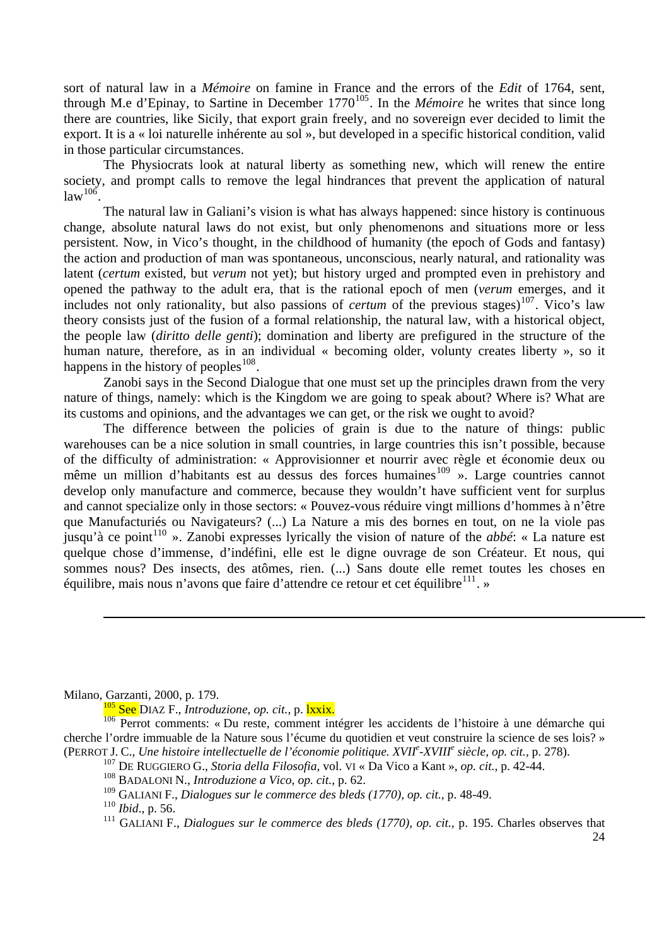export. It is a « loi naturelle inhérente au sol », but developed in a specific historical condition, valid in thos e particular circumstances. sort of natural law in a *Mémoire* on famine in France and the errors of the *Edit* of 1764, sent, through M.e d'Epinay, to Sartine in December 1770[105](#page-23-0). In the *Mémoire* he writes that since long there are countries, like Sicily, that export grain freely, and no sovereign ever decided to limit the

society, and prompt calls to remove the legal hindrances that prevent the application of natural law $^{106}$ . The Physiocrats look at natural liberty as something new, which will renew the entire

human nature, therefore, as in an individual « becoming older, volunty creates liberty », so it happens in the history of peoples  $108$ . The natural law in Galiani's vision is what has always happened: since history is continuous change, absolute natural laws do not exist, but only phenomenons and situations more or less persistent. Now, in Vico's thought, in the childhood of humanity (the epoch of Gods and fantasy) the action and production of man was spontaneous, unconscious, nearly natural, and rationality was latent (*certum* existed, but *verum* not yet); but history urged and prompted even in prehistory and opened the pathway to the adult era, that is the rational epoch of men (*verum* emerges, and it includes not only rationality, but also passions of *certum* of the previous stages)<sup>[107](#page-23-1)</sup>. Vico's law theory consists just of the fusion of a formal relationship, the natural law, with a historical object, the people law (*diritto delle genti*); domination and liberty are prefigured in the structure of the

nature of things, namely: which is the Kingdom we are going to speak about? Where is? What are its cust oms and opinions, and the advantages we can get, or the risk we ought to avoid? Zanobi says in the Second Dialogue that one must set up the principles drawn from the very

sommes nous? Des insects, des atômes, rien. (...) Sans doute elle remet toutes les choses en équilibre, mais nous n'avons que faire d'attendre ce retour et cet équilibre<sup>111</sup>. » The difference between the policies of grain is due to the nature of things: public warehouses can be a nice solution in small countries, in large countries this isn't possible, because of the difficulty of administration: « Approvisionner et nourrir avec règle et économie deux ou même un million d'habitants est au dessus des forces humaines<sup>[109](#page-23-2)</sup> ». Large countries cannot develop only manufacture and commerce, because they wouldn't have sufficient vent for surplus and cannot specialize only in those sectors: « Pouvez-vous réduire vingt millions d'hommes à n'être que Manufacturiés ou Navigateurs? (...) La Nature a mis des bornes en tout, on ne la viole pas jusqu'à ce point<sup>[110](#page-23-3)</sup> ». Zanobi expresses lyrically the vision of nature of the *abbé*: « La nature est quelque chose d'immense, d'indéfini, elle est le digne ouvrage de son Créateur. Et nous, qui

-

<span id="page-23-0"></span>Milano, Garzanti, 2000, p. 179.

<sup>105</sup> See DIAZ F., *Introduzione, op. cit.,* p. lxxix.

<span id="page-23-2"></span><span id="page-23-1"></span><sup>&</sup>lt;sup>106</sup> Perrot comments: « Du reste, comment intégrer les accidents de l'histoire à une démarche qui cherche l'ordre immuable de la Nature sous l'écume du quotidien et veut construire la science de ses lois? » (PERROT J. C., *Une histoire intellectuelle de l'économie politique. XVII<sup>e</sup>-XVIII<sup>e</sup> siècle, op. cit., p. 278).* 

<sup>&</sup>lt;sup>107</sup> DE RUGGIERO G., *Storia della Filosofia*, vol. VI « Da Vico a Kant », *op. cit.*, p. 42-44.

<sup>108</sup> BADALONI N., *Introduzione a Vico, op. cit.,* p. 62.

<sup>109</sup> GALIANI F., *Dialogues sur le commerce des bleds (1770), op. cit.,* p. 48-49.

<span id="page-23-3"></span><sup>110</sup> *Ibid*., p. 56.

<sup>111</sup> GALIANI F., *Dialogues sur le commerce des bleds (1770), op. cit.,* p. 195. Charles observes that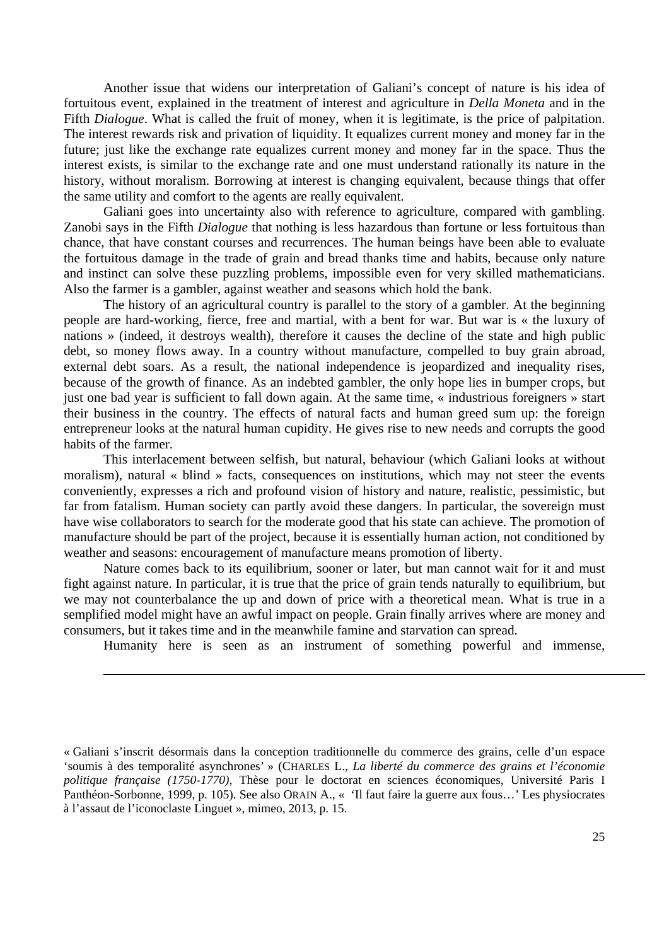Another issue that widens our interpretation of Galiani's concept of nature is his idea of fortuitous event, explained in the treatment of interest and agriculture in *Della Moneta* and in the Fifth *Dialogue*. What is called the fruit of money, when it is legitimate, is the price of palpitation. The interest rewards risk and privation of liquidity. It equalizes current money and money far in the future; just like the exchange rate equalizes current money and money far in the space. Thus the interest exists, is similar to the exchange rate and one must understand rationally its nature in the history, without moralism. Borrowing at interest is changing equivalent, because things that offer the same utility and comfort to the agents are really equivalent.

Galiani goes into uncertainty also with reference to agriculture, compared with gambling. Zanobi says in the Fifth *Dialogue* that nothing is less hazardous than fortune or less fortuitous than chance, that have constant courses and recurrences. The human beings have been able to evaluate the fortuitous damage in the trade of grain and bread thanks time and habits, because only nature and instinct can solve these puzzling problems, impossible even for very skilled mathematicians. Also the farmer is a gambler, against weather and seasons which hold the bank.

The history of an agricultural country is parallel to the story of a gambler. At the beginning people are hard-working, fierce, free and martial, with a bent for war. But war is « the luxury of nations » (indeed, it destroys wealth), therefore it causes the decline of the state and high public debt, so money flows away. In a country without manufacture, compelled to buy grain abroad, external debt soars. As a result, the national independence is jeopardized and inequality rises, because of the growth of finance. As an indebted gambler, the only hope lies in bumper crops, but just one bad year is sufficient to fall down again. At the same time, « industrious foreigners » start their business in the country. The effects of natural facts and human greed sum up: the foreign entrepreneur looks at the natural human cupidity. He gives rise to new needs and corrupts the good habits of the farmer.

This interlacement between selfish, but natural, behaviour (which Galiani looks at without moralism), natural « blind » facts, consequences on institutions, which may not steer the events conveniently, expresses a rich and profound vision of history and nature, realistic, pessimistic, but far from fatalism. Human society can partly avoid these dangers. In particular, the sovereign must have wise collaborators to search for the moderate good that his state can achieve. The promotion of manufacture should be part of the project, because it is essentially human action, not conditioned by weather and seasons: encouragement of manufacture means promotion of liberty.

Nature comes back to its equilibrium, sooner or later, but man cannot wait for it and must fight against nature. In particular, it is true that the price of grain tends naturally to equilibrium, but we may not counterbalance the up and down of price with a theoretical mean. What is true in a semplified model might have an awful impact on people. Grain finally arrives where are money and consumers, but it takes time and in the meanwhile famine and starvation can spread.

-

Humanity here is seen as an instrument of something powerful and immense,

l

<sup>«</sup> Galiani s'inscrit désormais dans la conception traditionnelle du commerce des grains, celle d'un espace 'soumis à des temporalité asynchrones' » (CHARLES L., *La liberté du commerce des grains et l'économie politique française (1750-1770)*, Thèse pour le doctorat en sciences économiques, Université Paris I Panthéon-Sorbonne, 1999, p. 105). See also ORAIN A., « 'Il faut faire la guerre aux fous…' Les physiocrates à l'assaut de l'iconoclaste Linguet », mimeo, 2013, p. 15.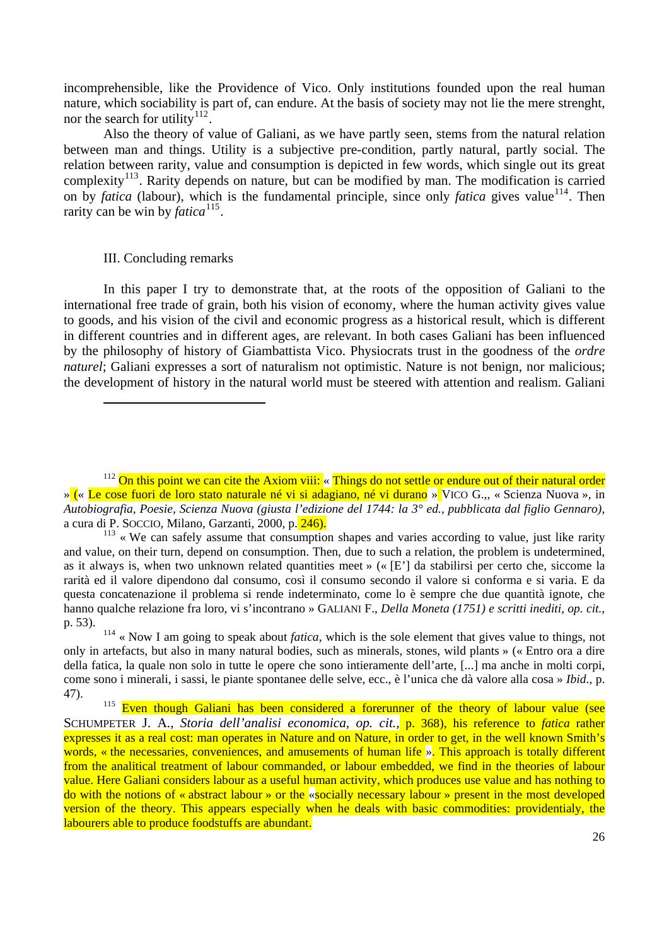incomprehensible, like the Providence of Vico. Only institutions founded upon the real human nature, which sociability is part of, can endure. At the basis of society may not lie the mere strenght, nor the search for utility<sup>[112](#page-25-0)</sup>.

complexity<sup>[113](#page-25-1)</sup>. Rarity depends on nature, but can be modified by man. The modification is carried on by *fatica* (labour), which is the fundamental principle, since only *fatica* gives value<sup>114</sup>. Then rarity can be win by *fatica*<sup>115</sup>. Also the theory of value of Galiani, as we have partly seen, stems from the natural relation between man and things. Utility is a subjective pre-condition, partly natural, partly social. The relation between rarity, value and consumption is depicted in few words, which single out its great

#### III. Concluding remarks

l

In this paper I try to demonstrate that, at the roots of the opposition of Galiani to the international free trade of grain, both his vision of economy, where the human activity gives value to goods, and his vision of the civil and economic progress as a historical result, which is different in different countries and in different ages, are relevant. In both cases Galiani has been influenced by the philosophy of history of Giambattista Vico. Physiocrats trust in the goodness of the *ordre naturel*; Galiani expresses a sort of naturalism not optimistic. Nature is not benign, nor malicious; the development of history in the natural world must be steered with attention and realism. Galiani

<span id="page-25-0"></span><sup>113</sup> « We can safely assume that consumption shapes and varies according to value, just like rarity and value, on their turn, depend on consumption. Then, due to such a relation, the problem is undetermined, as it always is, when two unknown related quantities meet » (« [E'] da stabilirsi per certo che, siccome la rarità ed il valore dipendono dal consumo, così il consumo secondo il valore si conforma e si varia. E da questa concatenazione il problema si rende indeterminato, come lo è sempre che due quantità ignote, che hanno qualche relazione fra loro, vi s'incontrano » GALIANI F., *Della Moneta (1751) e scritti inediti, op. cit.,* p. 53).

 $112$  On this point we can cite the Axiom viii: « Things do not settle or endure out of their natural order » (« Le cose fuori de loro stato naturale né vi si adagiano, né vi durano » VICO G.,, « Scienza Nuova », in *Autobiografia, Poesie, Scienza Nuova (giusta l'edizione del 1744: la 3° ed., pubblicata dal figlio Gennaro)*, a cura di P. SOCCIO, Milano, Garzanti, 2000, p. 246).

<span id="page-25-1"></span><sup>114 «</sup> Now I am going to speak about *fatica*, which is the sole element that gives value to things, not only in artefacts, but also in many natural bodies, such as minerals, stones, wild plants » (« Entro ora a dire della fatica, la quale non solo in tutte le opere che sono intieramente dell'arte, [...] ma anche in molti corpi, come sono i minerali, i sassi, le piante spontanee delle selve, ecc., è l'unica che dà valore alla cosa » *Ibid*., p. 47).

<sup>&</sup>lt;sup>115</sup> Even though Galiani has been considered a forerunner of the theory of labour value (see SCHUMPETER J. A., *Storia dell'analisi economica, op. cit.,* p. 368), his reference to *fatica* rather expresses it as a real cost: man operates in Nature and on Nature, in order to get, in the well known Smith's words, « the necessaries, conveniences, and amusements of human life ». This approach is totally different from the analitical treatment of labour commanded, or labour embedded, we find in the theories of labour value. Here Galiani considers labour as a useful human activity, which produces use value and has nothing to do with the notions of « abstract labour » or the «socially necessary labour » present in the most developed version of the theory. This appears especially when he deals with basic commodities: providentialy, the labourers able to produce foodstuffs are abundant.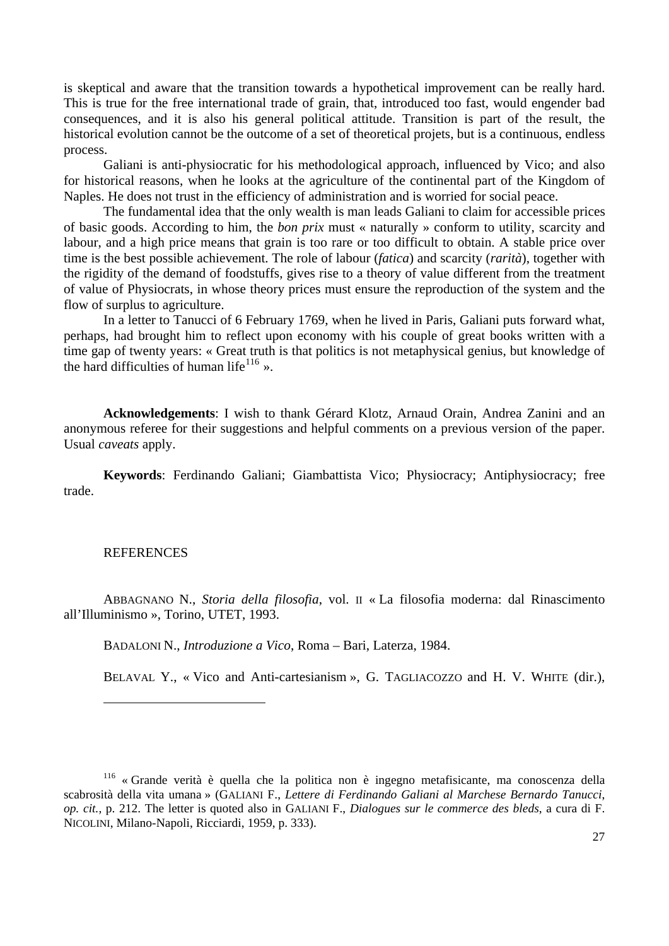consequences, and it is also his general political attitude. Transition is part of the result, the historic al evolution cannot be the outcome of a set of theoretical projets, but is a continuous, endless is skeptical and aware that the transition towards a hypothetical improvement can be really hard. This is true for the free international trade of grain, that, introduced too fast, would engender bad process.

Galiani is anti-physiocratic for his methodological approach, influenced by Vico; and also for his torical reasons, when he looks at the agriculture of the continental part of the Kingdom of Naples. He does not trust in the efficiency of administration and is worried for social peace.

the rigidity of the demand of foodstuffs, gives rise to a theory of value different from the treatment of valu e of Physiocrats, in whose theory prices must ensure the reproduction of the system and the The fundamental idea that the only wealth is man leads Galiani to claim for accessible prices of basic goods. According to him, the *bon prix* must « naturally » conform to utility, scarcity and labour, and a high price means that grain is too rare or too difficult to obtain. A stable price over time is the best possible achievement. The role of labour (*fatica*) and scarcity (*rarità*), together with flow of surplus to agriculture.

perhaps, had brought him to reflect upon economy with his couple of great books written with a time gap of twenty years: « Great truth is that politics is not metaphysical genius, but knowledge of the hard difficulties of human life<sup>116</sup> ». In a letter to Tanucci of 6 February 1769, when he lived in Paris, Galiani puts forward what,

Acknowledgements: I wish to thank Gérard Klotz, Arnaud Orain, Andrea Zanini and an anonymous referee for their suggestions and helpful comments on a previous version of the paper. Usual *c aveats* apply.

**eywords**: Ferdinando Galiani; Giambattista Vico; Physiocracy; Antiphysiocracy; free **K** trade.

#### **REFERENCES**

ABBAGNANO N., Storia della filosofia, vol. II « La filosofia moderna: dal Rinascimento all'Illu minismo », Torino, UTET, 1993.

BADALONI N., *Introduzione a Vico*, Roma – Bari, Laterza, 1984.

BELAVAL Y., « Vico and Anti-cartesianism », G. TAGLIACOZZO and H. V. WHITE (dir.),

<sup>116 «</sup> Grande verità è quella che la politica non è ingegno metafisicante, ma conoscenza della scabrosità della vita umana » (GALIANI F., *Lettere di Ferdinando Galiani al Marchese Bernardo Tanucci*, *op. cit.,* p. 212. The letter is quoted also in GALIANI F., *Dialogues sur le commerce des bleds*, a cura di F. NICOLINI, Milano-Napoli, Ricciardi, 1959, p. 333).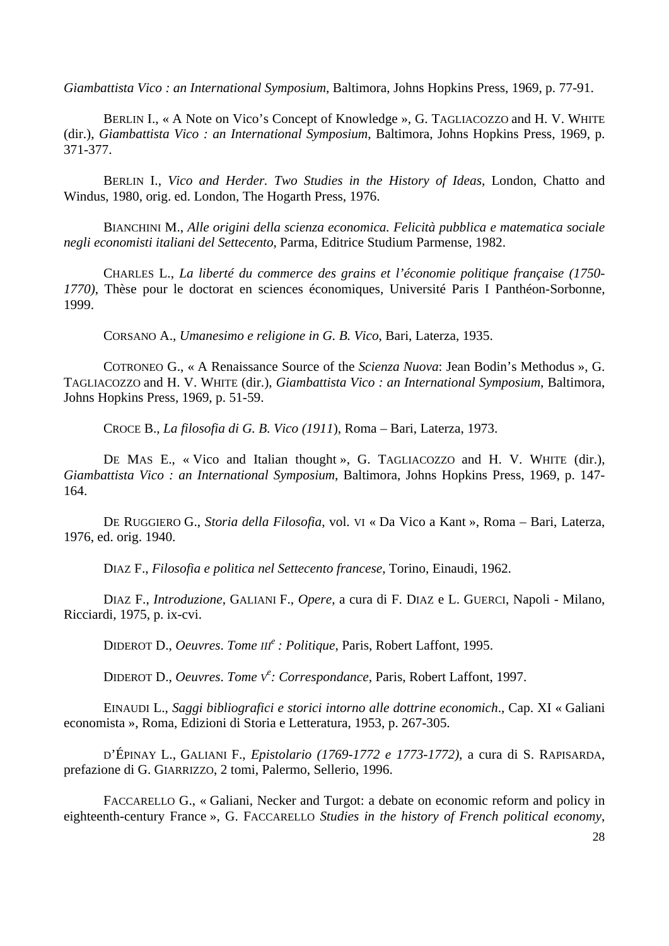*Giamb attista Vico : an International Symposium*, Baltimora, Johns Hopkins Press, 1969, p. 77-91.

BERLIN I., « A Note on Vico's Concept of Knowledge », G. TAGLIACOZZO and H. V. WHITE (dir.), *Giambattista Vico : an International Symposium*, Baltimora, Johns Hopkins Press, 1969, p. 371-37 7.

ERLIN I., *Vico and Herder. Two Studies in the History of Ideas*, London, Chatto and B Windu s, 1980, orig. ed. London, The Hogarth Press, 1976.

BIANCHINI M., Alle origini della scienza economica. Felicità pubblica e matematica sociale *negli e conomisti italiani del Settecento*, Parma, Editrice Studium Parmense, 1982.

CHARLES L., *La liberté du commerce des grains et l'économie politique française (1750- 1770)*, Thèse pour le doctorat en sciences économiques, Université Paris I Panthéon-Sorbonne, 1999.

CORSANO A., *Umanesimo e religione in G. B. Vico*, Bari, Laterza, 1935.

COTRONEO G., « A Renaissance Source of the *Scienza Nuova*: Jean Bodin's Methodus », G. TAGLIACOZZO and H. V. WHITE (dir.), *Giambattista Vico : an International Symposium*, Baltimora, Johns H opkins Press, 1969, p. 51-59.

CROCE B., *La filosofia di G. B. Vico (1911*), Roma – Bari, Laterza, 1973.

DE MAS E., « Vico and Italian thought », G. TAGLIACOZZO and H. V. WHITE (dir.), *Giambattista Vico : an International Symposium*, Baltimora, Johns Hopkins Press, 1969, p. 147- 164.

DE RUGGIERO G., Storia della Filosofia, vol. VI « Da Vico a Kant », Roma - Bari, Laterza, 1976, e d. orig. 1940.

DIAZ F., *Filosofia e politica nel Settecento francese*, Torino, Einaudi, 1962.

DIAZ F., *Introduzione*, GALIANI F., *Opere*, a cura di F. DIAZ e L. GUERCI, Napoli - Milano, Ricciar di, 1975, p. ix-cvi.

DIDEROT D., *Oeuvres*. *Tome III<sup>e</sup> : Politique*, Paris, Robert Laffont, 1995.

DIDEROT D., *Oeuvres*. *Tome V<sup>e</sup> : Correspondance,* Paris, Robert Laffont, 1997.

EINAUDI L., Saggi bibliografici e storici intorno alle dottrine economich., Cap. XI « Galiani econom ista », Roma, Edizioni di Storia e Letteratura, 1953, p. 267-305.

'ÉPINAY L., GALIANI F., *Epistolario (1769-1772 e 1773-1772)*, a cura di S. RAPISARDA, D prefazi one di G. GIARRIZZO, 2 tomi, Palermo, Sellerio, 1996.

FACCARELLO G., « Galiani, Necker and Turgot: a debate on economic reform and policy in eighteenth-century France », G. FACCARELLO *Studies in the history of French political economy*,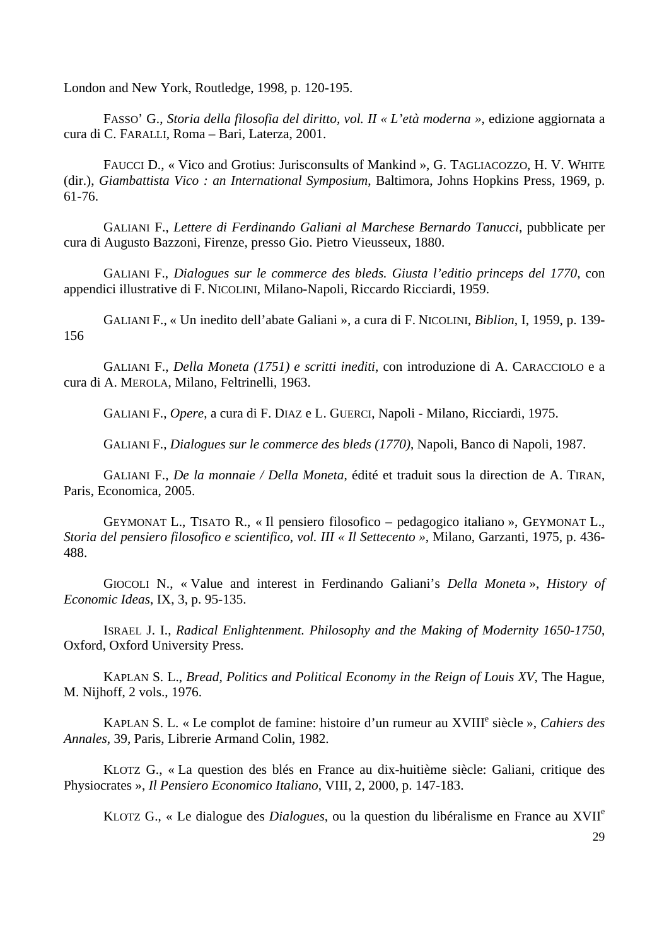London and New York, Routledge, 1998, p. 120-195.

FASSO' G., Storia della filosofia del diritto, vol. II « L'età moderna », edizione aggiornata a cura di C. FARALLI, Roma – Bari, Laterza, 2001.

FAUCCI D., « Vico and Grotius: Jurisconsults of Mankind », G. TAGLIACOZZO, H. V. WHITE (dir.), *Giambattista Vico : an International Symposium*, Baltimora, Johns Hopkins Press, 1969, p. 61-76.

GALIANI F., Lettere di Ferdinando Galiani al Marchese Bernardo Tanucci, pubblicate per cura di Augusto Bazzoni, Firenze, presso Gio. Pietro Vieusseux, 1880.

GALIANI F., *Dialogues sur le commerce des bleds. Giusta l'editio princeps del 1770*, con append ici illustrative di F. NICOLINI, Milano-Napoli, Riccardo Ricciardi, 1959.

GALIANI F., « Un inedito dell'abate Galiani », a cura di F. NICOLINI, *Biblion*, I, 1959, p. 139-156

GALIANI F., *Della Moneta (1751) e scritti inediti*, con introduzione di A. CARACCIOLO e a cura di A. MEROLA, Milano, Feltrinelli, 1963.

GALIANI F., *Opere*, a cura di F. DIAZ e L. GUERCI, Napoli - Milano, Ricciardi, 1975.

GALIANI F., *Dialogues sur le commerce des bleds (1770)*, Napoli, Banco di Napoli, 1987.

GALIANI F., *De la monnaie / Della Moneta*, édité et traduit sous la direction de A. TIRAN, Paris, E conomica, 2005.

GEYMONAT L., TISATO R., « Il pensiero filosofico – pedagogico italiano », GEYMONAT L., *Storia del pensiero filosofico e scientifico*, *vol. III « Il Settecento »*, Milano, Garzanti, 1975, p. 436- 488.

GIOCOLI N., « Value and interest in Ferdinando Galiani's *Della Moneta* », *History of Econom ic Ideas*, IX, 3, p. 95-135.

ISRAEL J. I., *Radical Enlightenment. Philosophy and the Making of Modernity 1650-1750*, Oxford , Oxford University Press.

KAPLAN S. L., *Bread, Politics and Political Economy in the Reign of Louis XV*, The Hague, M. Nijh off, 2 vols., 1976.

KAPLAN S. L. « Le complot de famine: histoire d'un rumeur au XVIII<sup>e</sup> siècle », *Cahiers des Annale s*, 39, Paris, Librerie Armand Colin, 1982.

LOTZ G., « La question des blés en France au dix-huitième siècle: Galiani, critique des K Physio crates », *Il Pensiero Economico Italiano*, VIII, 2, 2000, p. 147-183.

KLOTZ G., « Le dialogue des *Dialogues*, ou la question du libéralisme en France au XVIIe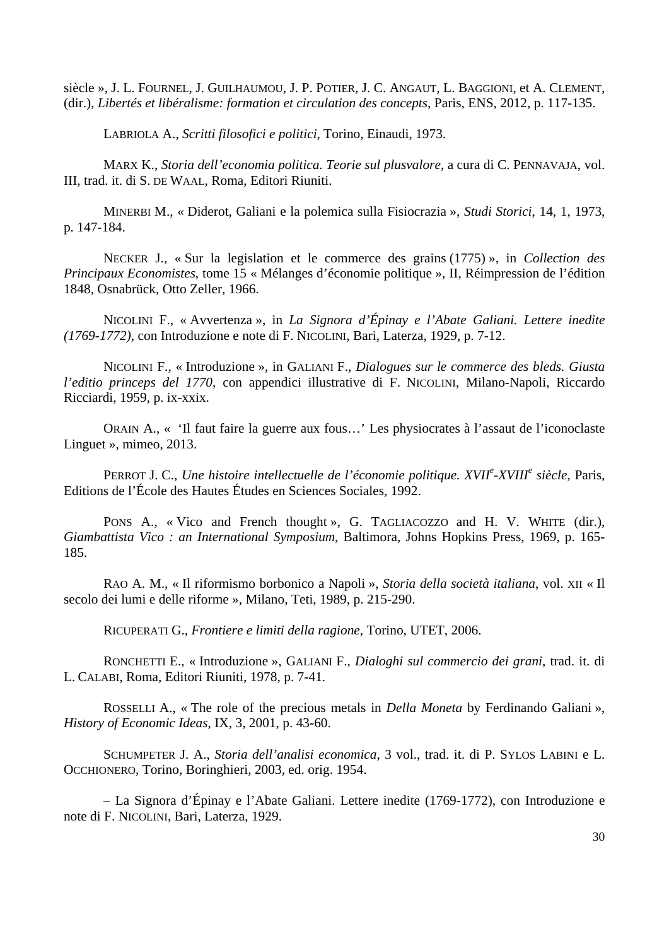siècle », J. L. FOURNEL, J. GUILHAUMOU, J. P. POTIER, J. C. ANGAUT, L. BAGGIONI, et A. CLEMENT, (dir.), *Libertés et libéralisme: formation et circulation des concepts*, Paris, ENS, 2012, p. 117-135.

LABRIOLA A., *Scritti filosofici e politici*, Torino, Einaudi, 1973.

ARX K., *Storia dell'economia politica. Teorie sul plusvalore*, a cura di C. PENNAVAJA, vol. M III, trad . it. di S. DE WAAL, Roma, Editori Riuniti.

INERBI M., « Diderot, Galiani e la polemica sulla Fisiocrazia », *Studi Storici*, 14, 1, 1973, M p. 147- 184.

NECKER J., « Sur la legislation et le commerce des grains (1775) », in *Collection des Principaux Economistes*, tome 15 « Mélanges d'économie politique », II, Réimpression de l'édition 1848, O snabrück, Otto Zeller, 1966.

NICOLINI F., « Avvertenza », in *La Signora d'Épinay e l'Abate Galiani. Lettere inedite (1769-1 772)*, con Introduzione e note di F. NICOLINI, Bari, Laterza, 1929, p. 7-12.

NICOLINI F., « Introduzione », in GALIANI F., *Dialogues sur le commerce des bleds. Giusta l'editio princeps del 1770,* con appendici illustrative di F. NICOLINI, Milano-Napoli, Riccardo Ricciar di, 1959, p. ix-xxix.

ORAIN A., « 'Il faut faire la guerre aux fous...' Les physiocrates à l'assaut de l'iconoclaste Linguet », mimeo, 2013.

PERROT J. C., *Une histoire intellectuelle de l'économie politique. XVII<sup>e</sup>-XVIII<sup>e</sup> siècle, Paris,* Edition s de l'École des Hautes Études en Sciences Sociales, 1992.

PONS A., « Vico and French thought », G. TAGLIACOZZO and H. V. WHITE (dir.), *Giambattista Vico : an International Symposium*, Baltimora, Johns Hopkins Press, 1969, p. 165- 185.

RAO A. M., « Il riformismo borbonico a Napoli », Storia della società italiana, vol. XII « Il secolo dei lumi e delle riforme », Milano, Teti, 1989, p. 215-290.

RICUPERATI G., *Frontiere e limiti della ragione*, Torino, UTET, 2006.

RONCHETTI E., « Introduzione », GALIANI F., *Dialoghi sul commercio dei grani*, trad. it. di L. CAL ABI, Roma, Editori Riuniti, 1978, p. 7-41.

ROSSELLI A., « The role of the precious metals in *Della Moneta* by Ferdinando Galiani», *History of Economic Ideas*, IX, 3, 2001, p. 43-60.

SCHUMPETER J. A., Storia dell'analisi economica, 3 vol., trad. it. di P. SYLOS LABINI e L. OCCHIO NERO, Torino, Boringhieri, 2003, ed. orig. 1954.

– La Signora d'Épinay e l'Abate Galiani. Lettere inedite (1769-1772), con Introduzione e note di F. NICOLINI, Bari, Laterza, 1929.